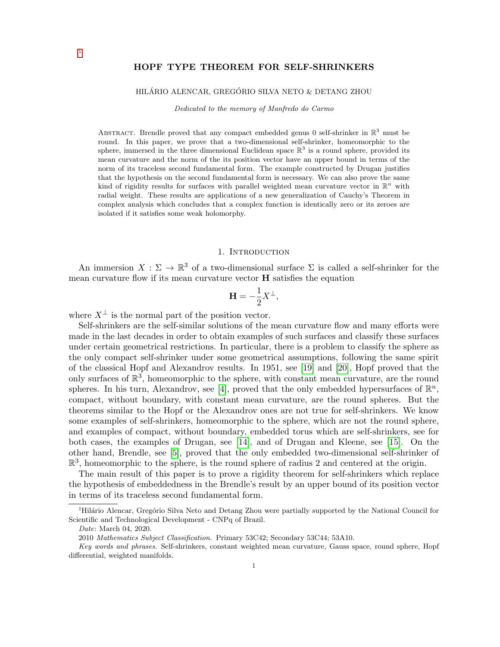# HOPF TYPE THEOREM FOR SELF-SHRINKERS

## HILÁRIO ALENCAR, GREGÓRIO SILVA NETO & DETANG ZHOU

Dedicated to the memory of Manfredo do Carmo

ABSTRACT. Brendle proved that any compact embedded genus 0 self-shrinker in  $\mathbb{R}^3$  must be round. In this paper, we prove that a two-dimensional self-shrinker, homeomorphic to the sphere, immersed in the three dimensional Euclidean space  $\mathbb{R}^3$  is a round sphere, provided its mean curvature and the norm of the its position vector have an upper bound in terms of the norm of its traceless second fundamental form. The example constructed by Drugan justifies that the hypothesis on the second fundamental form is necessary. We can also prove the same kind of rigidity results for surfaces with parallel weighted mean curvature vector in  $\mathbb{R}^n$  with radial weight. These results are applications of a new generalization of Cauchy's Theorem in complex analysis which concludes that a complex function is identically zero or its zeroes are isolated if it satisfies some weak holomorphy.

## 1. INTRODUCTION

An immersion  $X : \Sigma \to \mathbb{R}^3$  of a two-dimensional surface  $\Sigma$  is called a self-shrinker for the mean curvature flow if its mean curvature vector H satisfies the equation

$$
\mathbf{H} = -\frac{1}{2}X^{\perp},
$$

where  $X^{\perp}$  is the normal part of the position vector.

Self-shrinkers are the self-similar solutions of the mean curvature flow and many efforts were made in the last decades in order to obtain examples of such surfaces and classify these surfaces under certain geometrical restrictions. In particular, there is a problem to classify the sphere as the only compact self-shrinker under some geometrical assumptions, following the same spirit of the classical Hopf and Alexandrov results. In 1951, see [\[19\]](#page-27-0) and [\[20\]](#page-27-1), Hopf proved that the only surfaces of  $\mathbb{R}^3$ , homeomorphic to the sphere, with constant mean curvature, are the round spheres. In his turn, Alexandrov, see [\[4\]](#page-26-0), proved that the only embedded hypersurfaces of  $\mathbb{R}^n$ , compact, without boundary, with constant mean curvature, are the round spheres. But the theorems similar to the Hopf or the Alexandrov ones are not true for self-shrinkers. We know some examples of self-shrinkers, homeomorphic to the sphere, which are not the round sphere, and examples of compact, without boundary, embedded torus which are self-shrinkers, see for both cases, the examples of Drugan, see [\[14\]](#page-26-1), and of Drugan and Kleene, see [\[15\]](#page-26-2). On the other hand, Brendle, see [\[5\]](#page-26-3), proved that the only embedded two-dimensional self-shrinker of  $\mathbb{R}^3$ , homeomorphic to the sphere, is the round sphere of radius 2 and centered at the origin.

The main result of this paper is to prove a rigidity theorem for self-shrinkers which replace the hypothesis of embeddedness in the Brendle's result by an upper bound of its position vector in terms of its traceless second fundamental form.

[1](#page-0-0)

<span id="page-0-0"></span><sup>&</sup>lt;sup>1</sup>Hilário Alencar, Gregório Silva Neto and Detang Zhou were partially supported by the National Council for Scientific and Technological Development - CNPq of Brazil.

Date: March 04, 2020.

<sup>2010</sup> Mathematics Subject Classification. Primary 53C42; Secondary 53C44; 53A10.

Key words and phrases. Self-shrinkers, constant weighted mean curvature, Gauss space, round sphere, Hopf differential, weighted manifolds.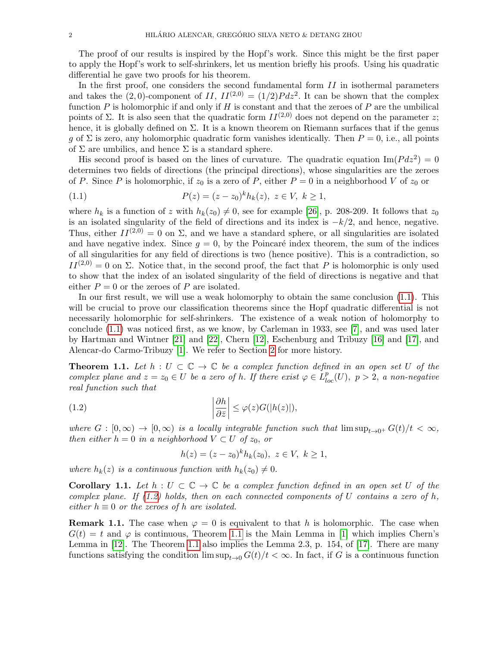The proof of our results is inspired by the Hopf's work. Since this might be the first paper to apply the Hopf's work to self-shrinkers, let us mention briefly his proofs. Using his quadratic differential he gave two proofs for his theorem.

In the first proof, one considers the second fundamental form  $II$  in isothermal parameters and takes the (2,0)-component of II,  $II^{(2,0)} = (1/2)Pdz^2$ . It can be shown that the complex function  $P$  is holomorphic if and only if  $H$  is constant and that the zeroes of  $P$  are the umbilical points of Σ. It is also seen that the quadratic form  $II^{(2,0)}$  does not depend on the parameter z; hence, it is globally defined on  $\Sigma$ . It is a known theorem on Riemann surfaces that if the genus g of  $\Sigma$  is zero, any holomorphic quadratic form vanishes identically. Then  $P = 0$ , i.e., all points of  $\Sigma$  are umbilics, and hence  $\Sigma$  is a standard sphere.

His second proof is based on the lines of curvature. The quadratic equation  $\text{Im}(P dz^2) = 0$ determines two fields of directions (the principal directions), whose singularities are the zeroes of P. Since P is holomorphic, if  $z_0$  is a zero of P, either  $P = 0$  in a neighborhood V of  $z_0$  or

<span id="page-1-0"></span>(1.1) 
$$
P(z) = (z - z_0)^k h_k(z), \ z \in V, \ k \ge 1,
$$

where  $h_k$  is a function of z with  $h_k(z_0) \neq 0$ , see for example [\[26\]](#page-27-2), p. 208-209. It follows that  $z_0$ is an isolated singularity of the field of directions and its index is  $-k/2$ , and hence, negative. Thus, either  $II^{(2,0)} = 0$  on  $\Sigma$ , and we have a standard sphere, or all singularities are isolated and have negative index. Since  $g = 0$ , by the Poincaré index theorem, the sum of the indices of all singularities for any field of directions is two (hence positive). This is a contradiction, so  $II^{(2,0)} = 0$  on  $\Sigma$ . Notice that, in the second proof, the fact that P is holomorphic is only used to show that the index of an isolated singularity of the field of directions is negative and that either  $P = 0$  or the zeroes of P are isolated.

In our first result, we will use a weak holomorphy to obtain the same conclusion [\(1.1\)](#page-1-0). This will be crucial to prove our classification theorems since the Hopf quadratic differential is not necessarily holomorphic for self-shrinkers. The existence of a weak notion of holomorphy to conclude [\(1.1\)](#page-1-0) was noticed first, as we know, by Carleman in 1933, see [\[7\]](#page-26-4), and was used later by Hartman and Wintner [\[21\]](#page-27-3) and [\[22\]](#page-27-4), Chern [\[12\]](#page-26-5), Eschenburg and Tribuzy [\[16\]](#page-27-5) and [\[17\]](#page-27-6), and Alencar-do Carmo-Tribuzy [\[1\]](#page-26-6). We refer to Section [2](#page-3-0) for more history.

<span id="page-1-2"></span>**Theorem 1.1.** Let  $h: U \subset \mathbb{C} \to \mathbb{C}$  be a complex function defined in an open set U of the complex plane and  $z = z_0 \in U$  be a zero of h. If there exist  $\varphi \in L^p_{loc}(U)$ ,  $p > 2$ , a non-negative real function such that

(1.2) 
$$
\left|\frac{\partial h}{\partial \bar{z}}\right| \leq \varphi(z)G(|h(z)|),
$$

where  $G : [0, \infty) \to [0, \infty)$  is a locally integrable function such that  $\limsup_{t\to 0^+} G(t)/t < \infty$ , then either  $h = 0$  in a neighborhood  $V \subset U$  of  $z_0$ , or

<span id="page-1-1"></span>
$$
h(z) = (z - z_0)^k h_k(z_0), \ z \in V, \ k \ge 1,
$$

where  $h_k(z)$  is a continuous function with  $h_k(z_0) \neq 0$ .

**Corollary 1.1.** Let  $h: U \subset \mathbb{C} \to \mathbb{C}$  be a complex function defined in an open set U of the complex plane. If  $(1.2)$  holds, then on each connected components of U contains a zero of h, either  $h \equiv 0$  or the zeroes of h are isolated.

**Remark 1.1.** The case when  $\varphi = 0$  is equivalent to that h is holomorphic. The case when  $G(t) = t$  and  $\varphi$  is continuous, Theorem [1.1](#page-1-2) is the Main Lemma in [\[1\]](#page-26-6) which implies Chern's Lemma in [\[12\]](#page-26-5). The Theorem [1.1](#page-1-2) also implies the Lemma 2.3, p. 154, of [\[17\]](#page-27-6). There are many functions satisfying the condition  $\limsup_{t\to 0} G(t)/t < \infty$ . In fact, if G is a continuous function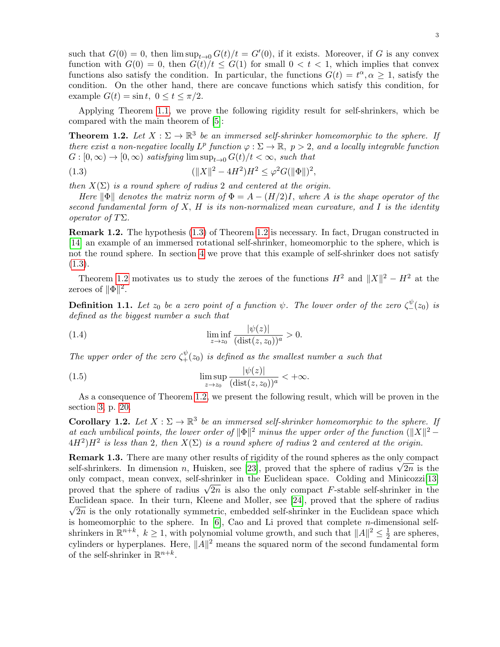such that  $G(0) = 0$ , then  $\limsup_{t\to 0} G(t)/t = G'(0)$ , if it exists. Moreover, if G is any convex function with  $G(0) = 0$ , then  $G(t)/t \leq G(1)$  for small  $0 < t < 1$ , which implies that convex functions also satisfy the condition. In particular, the functions  $G(t) = t^{\alpha}, \alpha \geq 1$ , satisfy the condition. On the other hand, there are concave functions which satisfy this condition, for example  $G(t) = \sin t$ ,  $0 \le t \le \pi/2$ .

Applying Theorem [1.1,](#page-1-2) we prove the following rigidity result for self-shrinkers, which be compared with the main theorem of [\[5\]](#page-26-3):

<span id="page-2-1"></span>**Theorem 1.2.** Let  $X : \Sigma \to \mathbb{R}^3$  be an immersed self-shrinker homeomorphic to the sphere. If there exist a non-negative locally  $L^p$  function  $\varphi : \Sigma \to \mathbb{R}, p > 2$ , and a locally integrable function  $G : [0, \infty) \to [0, \infty)$  satisfying  $\limsup_{t \to 0} G(t)/t < \infty$ , such that

<span id="page-2-0"></span>(1.3) 
$$
(\|X\|^2 - 4H^2)H^2 \le \varphi^2 G(\|\Phi\|)^2,
$$

then  $X(\Sigma)$  is a round sphere of radius 2 and centered at the origin.

Here  $\|\Phi\|$  denotes the matrix norm of  $\Phi = A - (H/2)I$ , where A is the shape operator of the second fundamental form of  $X$ ,  $H$  is its non-normalized mean curvature, and  $I$  is the identity operator of TΣ.

Remark 1.2. The hypothesis [\(1.3\)](#page-2-0) of Theorem [1.2](#page-2-1) is necessary. In fact, Drugan constructed in [\[14\]](#page-26-1) an example of an immersed rotational self-shrinker, homeomorphic to the sphere, which is not the round sphere. In section [4](#page-21-0) we prove that this example of self-shrinker does not satisfy  $(1.3).$  $(1.3).$ 

Theorem [1.2](#page-2-1) motivates us to study the zeroes of the functions  $H^2$  and  $||X||^2 - H^2$  at the zeroes of  $\|\Phi\|^2$ .

<span id="page-2-3"></span>**Definition 1.1.** Let  $z_0$  be a zero point of a function  $\psi$ . The lower order of the zero  $\zeta_{-}^{\psi}(z_0)$  is defined as the biggest number a such that

(1.4) 
$$
\liminf_{z \to z_0} \frac{|\psi(z)|}{(\text{dist}(z, z_0))^a} > 0.
$$

The upper order of the zero  $\zeta^{\psi}_+(z_0)$  is defined as the smallest number a such that

(1.5) 
$$
\limsup_{z \to z_0} \frac{|\psi(z)|}{(\text{dist}(z, z_0))^a} < +\infty.
$$

As a consequence of Theorem [1.2,](#page-2-1) we present the following result, which will be proven in the section [3,](#page-12-0) p. [20.](#page-19-0)

<span id="page-2-2"></span>**Corollary 1.2.** Let  $X : \Sigma \to \mathbb{R}^3$  be an immersed self-shrinker homeomorphic to the sphere. If at each umbilical points, the lower order of  $\|\Phi\|^2$  minus the upper order of the function  $(\|X\|^2 (4H^2)H^2$  is less than 2, then  $X(\Sigma)$  is a round sphere of radius 2 and centered at the origin.

Remark 1.3. There are many other results of rigidity of the round spheres as the only compact **REMARK 1.3.** There are many other results of rigidity of the round spheres as the only compact self-shrinkers. In dimension n, Huisken, see [\[23\]](#page-27-7), proved that the sphere of radius  $\sqrt{2n}$  is the only compact, mean convex, self-shrinker in the Euclidean space. Colding and Minicozzi[\[13\]](#page-26-7) omy compact, mean convex, sen-surinker in the Euchdean space. Columne and Minicozzi<sup>[13]</sup> proved that the sphere of radius  $\sqrt{2n}$  is also the only compact F-stable self-shrinker in the Euclidean space. In their turn, Kleene and Moller, see [\[24\]](#page-27-8), proved that the sphere of radius  $\sqrt{2n}$  is the only rotationally symmetric, embedded self-shrinker in the Euclidean space which is homeomorphic to the sphere. In  $[6]$ , Cao and Li proved that complete *n*-dimensional selfshrinkers in  $\mathbb{R}^{n+k}$ ,  $k \geq 1$ , with polynomial volume growth, and such that  $||A||^2 \leq \frac{1}{2}$  $\frac{1}{2}$  are spheres, cylinders or hyperplanes. Here,  $||A||^2$  means the squared norm of the second fundamental form of the self-shrinker in  $\mathbb{R}^{n+k}$ .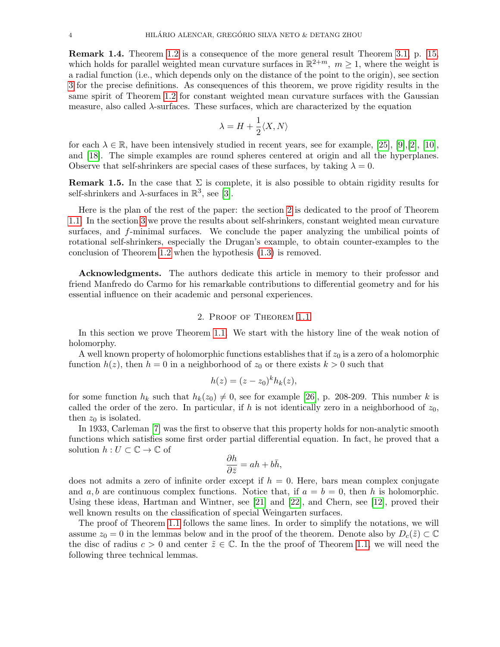Remark 1.4. Theorem [1.2](#page-2-1) is a consequence of the more general result Theorem [3.1,](#page-14-0) p. [15,](#page-14-0) which holds for parallel weighted mean curvature surfaces in  $\mathbb{R}^{2+m}$ ,  $m \geq 1$ , where the weight is a radial function (i.e., which depends only on the distance of the point to the origin), see section [3](#page-12-0) for the precise definitions. As consequences of this theorem, we prove rigidity results in the same spirit of Theorem [1.2](#page-2-1) for constant weighted mean curvature surfaces with the Gaussian measure, also called λ-surfaces. These surfaces, which are characterized by the equation

$$
\lambda = H + \frac{1}{2} \langle X, N \rangle
$$

for each  $\lambda \in \mathbb{R}$ , have been intensively studied in recent years, see for example, [\[25\]](#page-27-9), [\[9\]](#page-26-9), [\[2\]](#page-26-10), [\[10\]](#page-26-11), and [\[18\]](#page-27-10). The simple examples are round spheres centered at origin and all the hyperplanes. Observe that self-shrinkers are special cases of these surfaces, by taking  $\lambda = 0$ .

**Remark 1.5.** In the case that  $\Sigma$  is complete, it is also possible to obtain rigidity results for self-shrinkers and  $\lambda$ -surfaces in  $\mathbb{R}^3$ , see [\[3\]](#page-26-12).

Here is the plan of the rest of the paper: the section [2](#page-3-0) is dedicated to the proof of Theorem [1.1.](#page-1-2) In the section [3](#page-12-0) we prove the results about self-shrinkers, constant weighted mean curvature surfaces, and f-minimal surfaces. We conclude the paper analyzing the umbilical points of rotational self-shrinkers, especially the Drugan's example, to obtain counter-examples to the conclusion of Theorem [1.2](#page-2-1) when the hypothesis [\(1.3\)](#page-2-0) is removed.

Acknowledgments. The authors dedicate this article in memory to their professor and friend Manfredo do Carmo for his remarkable contributions to differential geometry and for his essential influence on their academic and personal experiences.

### 2. Proof of Theorem [1.1](#page-1-2)

<span id="page-3-0"></span>In this section we prove Theorem [1.1.](#page-1-2) We start with the history line of the weak notion of holomorphy.

A well known property of holomorphic functions establishes that if  $z_0$  is a zero of a holomorphic function  $h(z)$ , then  $h = 0$  in a neighborhood of  $z_0$  or there exists  $k > 0$  such that

$$
h(z) = (z - z_0)^k h_k(z),
$$

for some function  $h_k$  such that  $h_k(z_0) \neq 0$ , see for example [\[26\]](#page-27-2), p. 208-209. This number k is called the order of the zero. In particular, if h is not identically zero in a neighborhood of  $z_0$ , then  $z_0$  is isolated.

In 1933, Carleman [\[7\]](#page-26-4) was the first to observe that this property holds for non-analytic smooth functions which satisfies some first order partial differential equation. In fact, he proved that a solution  $h: U \subset \mathbb{C} \to \mathbb{C}$  of

$$
\frac{\partial h}{\partial \bar{z}} = ah + b\bar{h},
$$

does not admits a zero of infinite order except if  $h = 0$ . Here, bars mean complex conjugate and a, b are continuous complex functions. Notice that, if  $a = b = 0$ , then h is holomorphic. Using these ideas, Hartman and Wintner, see [\[21\]](#page-27-3) and [\[22\]](#page-27-4), and Chern, see [\[12\]](#page-26-5), proved their well known results on the classification of special Weingarten surfaces.

The proof of Theorem [1.1](#page-1-2) follows the same lines. In order to simplify the notations, we will assume  $z_0 = 0$  in the lemmas below and in the proof of the theorem. Denote also by  $D_c(\tilde{z}) \subset \mathbb{C}$ the disc of radius  $c > 0$  and center  $\tilde{z} \in \mathbb{C}$ . In the the proof of Theorem [1.1,](#page-1-2) we will need the following three technical lemmas.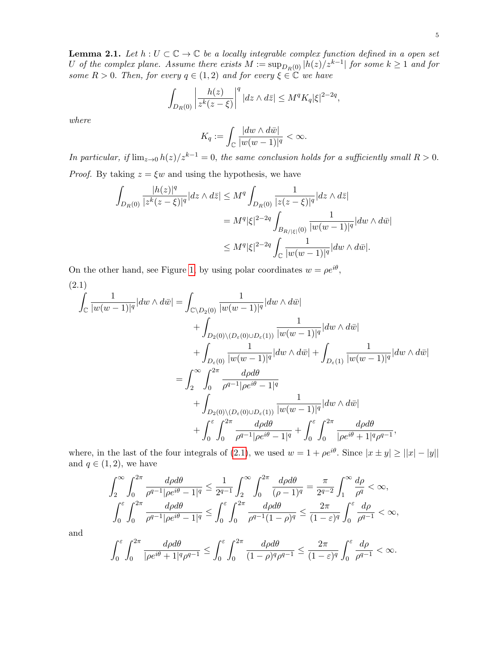<span id="page-4-1"></span>**Lemma 2.1.** Let  $h: U \subset \mathbb{C} \to \mathbb{C}$  be a locally integrable complex function defined in a open set U of the complex plane. Assume there exists  $M := \sup_{D_R(0)} |h(z)/z^{k-1}|$  for some  $k \geq 1$  and for some  $R > 0$ . Then, for every  $q \in (1, 2)$  and for every  $\xi \in \mathbb{C}$  we have

$$
\int_{D_R(0)} \left| \frac{h(z)}{z^k (z-\xi)} \right|^q |dz \wedge d\bar{z}| \leq M^q K_q |\xi|^{2-2q},
$$

where

$$
K_q := \int_{\mathbb{C}} \frac{|dw \wedge d\bar{w}|}{|w(w-1)|^q} < \infty.
$$

In particular, if  $\lim_{z\to 0} h(z)/z^{k-1} = 0$ , the same conclusion holds for a sufficiently small  $R > 0$ . *Proof.* By taking  $z = \xi w$  and using the hypothesis, we have

$$
\int_{D_R(0)} \frac{|h(z)|^q}{|z^k(z-\xi)|^q} |dz \wedge d\bar{z}| \le M^q \int_{D_R(0)} \frac{1}{|z(z-\xi)|^q} |dz \wedge d\bar{z}|
$$
  

$$
= M^q |\xi|^{2-2q} \int_{B_{R/|\xi|}(0)} \frac{1}{|w(w-1)|^q} |dw \wedge d\bar{w}|
$$
  

$$
\le M^q |\xi|^{2-2q} \int_{\mathbb{C}} \frac{1}{|w(w-1)|^q} |dw \wedge d\bar{w}|.
$$

On the other hand, see Figure [1,](#page-5-0) by using polar coordinates  $w = \rho e^{i\theta}$ ,

<span id="page-4-0"></span>
$$
(2.1)
$$
\n
$$
\int_{\mathbb{C}} \frac{1}{|w(w-1)|^q} |dw \wedge d\bar{w}| = \int_{\mathbb{C}\setminus D_2(0)} \frac{1}{|w(w-1)|^q} |dw \wedge d\bar{w}|
$$
\n
$$
+ \int_{D_2(0)\setminus (D_{\varepsilon}(0) \cup D_{\varepsilon}(1))} \frac{1}{|w(w-1)|^q} |dw \wedge d\bar{w}|
$$
\n
$$
+ \int_{D_{\varepsilon}(0)} \frac{1}{|w(w-1)|^q} |dw \wedge d\bar{w}| + \int_{D_{\varepsilon}(1)} \frac{1}{|w(w-1)|^q} |dw \wedge d\bar{w}|
$$
\n
$$
= \int_2^{\infty} \int_0^{2\pi} \frac{d\rho d\theta}{\rho^{q-1}|\rho e^{i\theta} - 1|^q}
$$
\n
$$
+ \int_{D_2(0)\setminus (D_{\varepsilon}(0) \cup D_{\varepsilon}(1))} \frac{1}{|w(w-1)|^q} |dw \wedge d\bar{w}|
$$
\n
$$
+ \int_0^{\varepsilon} \int_0^{2\pi} \frac{d\rho d\theta}{\rho^{q-1}|\rho e^{i\theta} - 1|^q} + \int_0^{\varepsilon} \int_0^{2\pi} \frac{d\rho d\theta}{|\rho e^{i\theta} + 1|^q \rho^{q-1}},
$$

where, in the last of the four integrals of [\(2.1\)](#page-4-0), we used  $w = 1 + \rho e^{i\theta}$ . Since  $|x \pm y| \ge ||x| - |y||$ and  $q \in (1, 2)$ , we have

$$
\int_{2}^{\infty} \int_{0}^{2\pi} \frac{d\rho d\theta}{\rho^{q-1} |\rho e^{i\theta} - 1|^q} \le \frac{1}{2^{q-1}} \int_{2}^{\infty} \int_{0}^{2\pi} \frac{d\rho d\theta}{(\rho - 1)^q} = \frac{\pi}{2^{q-2}} \int_{1}^{\infty} \frac{d\rho}{\rho^q} < \infty,
$$
  

$$
\int_{0}^{\varepsilon} \int_{0}^{2\pi} \frac{d\rho d\theta}{\rho^{q-1} |\rho e^{i\theta} - 1|^q} \le \int_{0}^{\varepsilon} \int_{0}^{2\pi} \frac{d\rho d\theta}{\rho^{q-1} (1 - \rho)^q} \le \frac{2\pi}{(1 - \varepsilon)^q} \int_{0}^{\varepsilon} \frac{d\rho}{\rho^{q-1}} < \infty,
$$

and

$$
\int_0^{\varepsilon} \int_0^{2\pi} \frac{d\rho d\theta}{|\rho e^{i\theta} + 1|^q \rho^{q-1}} \le \int_0^{\varepsilon} \int_0^{2\pi} \frac{d\rho d\theta}{(1-\rho)^q \rho^{q-1}} \le \frac{2\pi}{(1-\varepsilon)^q} \int_0^{\varepsilon} \frac{d\rho}{\rho^{q-1}} < \infty.
$$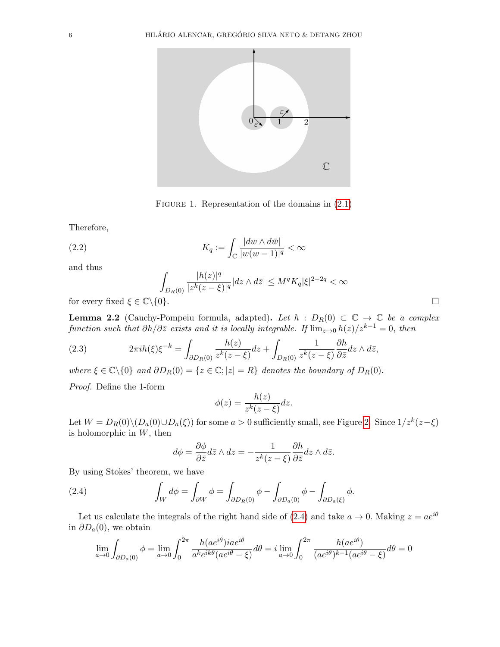

<span id="page-5-0"></span>FIGURE 1. Representation of the domains in  $(2.1)$ 

Therefore,

(2.2) 
$$
K_q := \int_{\mathbb{C}} \frac{|dw \wedge d\bar{w}|}{|w(w-1)|^q} < \infty
$$

and thus

$$
\int_{D_R(0)} \frac{|h(z)|^q}{|z^k(z-\xi)|^q} |dz \wedge d\overline{z}| \le M^q K_q |\xi|^{2-2q} < \infty
$$

for every fixed  $\xi \in \mathbb{C} \backslash \{0\}.$ 

**Lemma 2.2** (Cauchy-Pompeiu formula, adapted). Let  $h : D_R(0) \subset \mathbb{C} \to \mathbb{C}$  be a complex function such that  $\partial h/\partial \overline{z}$  exists and it is locally integrable. If  $\lim_{z\to 0} h(z)/z^{k-1} = 0$ , then

<span id="page-5-2"></span>(2.3) 
$$
2\pi i h(\xi)\xi^{-k} = \int_{\partial D_R(0)} \frac{h(z)}{z^k(z-\xi)} dz + \int_{D_R(0)} \frac{1}{z^k(z-\xi)} \frac{\partial h}{\partial \bar{z}} dz \wedge d\bar{z},
$$

where  $\xi \in \mathbb{C} \setminus \{0\}$  and  $\partial D_R(0) = \{z \in \mathbb{C}; |z| = R\}$  denotes the boundary of  $D_R(0)$ .

Proof. Define the 1-form

$$
\phi(z) = \frac{h(z)}{z^k(z-\xi)}dz.
$$

Let  $W = D_R(0) \setminus (D_a(0) \cup D_a(\xi))$  for some  $a > 0$  sufficiently small, see Figure [2.](#page-6-0) Since  $1/z^k(z-\xi)$ is holomorphic in  $W$ , then

<span id="page-5-1"></span>
$$
d\phi = \frac{\partial \phi}{\partial \bar{z}} d\bar{z} \wedge dz = -\frac{1}{z^k(z-\xi)} \frac{\partial h}{\partial \bar{z}} dz \wedge d\bar{z}.
$$

By using Stokes' theorem, we have

(2.4) 
$$
\int_W d\phi = \int_{\partial W} \phi = \int_{\partial D_R(0)} \phi - \int_{\partial D_a(0)} \phi - \int_{\partial D_a(\xi)} \phi.
$$

Let us calculate the integrals of the right hand side of [\(2.4\)](#page-5-1) and take  $a \to 0$ . Making  $z = ae^{i\theta}$ in  $\partial D_a(0)$ , we obtain

$$
\lim_{a \to 0} \int_{\partial D_a(0)} \phi = \lim_{a \to 0} \int_0^{2\pi} \frac{h(a e^{i\theta}) i a e^{i\theta}}{a^k e^{ik\theta} (a e^{i\theta} - \xi)} d\theta = i \lim_{a \to 0} \int_0^{2\pi} \frac{h(a e^{i\theta})}{(a e^{i\theta})^{k-1} (a e^{i\theta} - \xi)} d\theta = 0
$$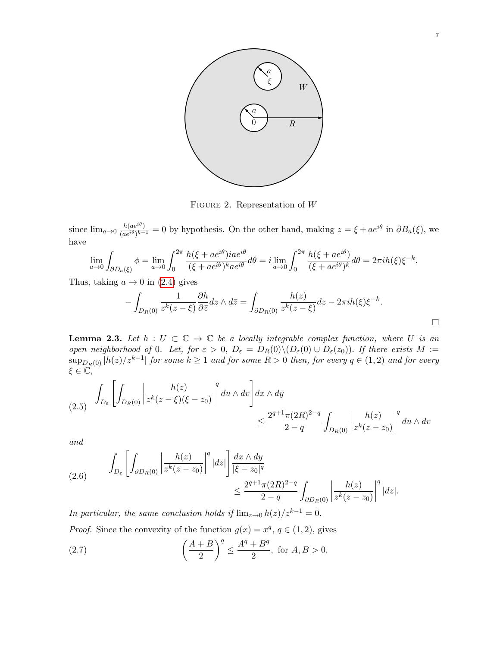

<span id="page-6-0"></span>FIGURE 2. Representation of  $W$ 

since  $\lim_{a\to 0} \frac{h(ae^{i\theta})}{(ae^{i\theta})^{k-1}}$  $\frac{h(ae^{i\theta})}{(ae^{i\theta})^{k-1}} = 0$  by hypothesis. On the other hand, making  $z = \xi + ae^{i\theta}$  in  $\partial B_a(\xi)$ , we have

$$
\lim_{a \to 0} \int_{\partial D_a(\xi)} \phi = \lim_{a \to 0} \int_0^{2\pi} \frac{h(\xi + ae^{i\theta})iae^{i\theta}}{(\xi + ae^{i\theta})^k ae^{i\theta}} d\theta = i \lim_{a \to 0} \int_0^{2\pi} \frac{h(\xi + ae^{i\theta})}{(\xi + ae^{i\theta})^k} d\theta = 2\pi i h(\xi)\xi^{-k}.
$$

Thus, taking  $a \to 0$  in [\(2.4\)](#page-5-1) gives

$$
-\int_{D_R(0)} \frac{1}{z^k(z-\xi)} \frac{\partial h}{\partial \bar{z}} dz \wedge d\bar{z} = \int_{\partial D_R(0)} \frac{h(z)}{z^k(z-\xi)} dz - 2\pi i h(\xi) \xi^{-k}.
$$

<span id="page-6-1"></span>**Lemma 2.3.** Let  $h: U \subset \mathbb{C} \to \mathbb{C}$  be a locally integrable complex function, where U is an open neighborhood of 0. Let, for  $\varepsilon > 0$ ,  $D_{\varepsilon} = D_R(0) \setminus (D_{\varepsilon}(0) \cup D_{\varepsilon}(z_0))$ . If there exists  $M :=$  $\sup_{D_R(0)}|h(z)/z^{k-1}|$  for some  $k\geq 1$  and for some  $R>0$  then, for every  $q\in (1,2)$  and for every  $\xi \in \mathbb{C},$ 

$$
(2.5) \quad \int_{D_{\varepsilon}} \left[ \int_{D_R(0)} \left| \frac{h(z)}{z^k (z - \xi)(\xi - z_0)} \right|^q du \wedge dv \right] dx \wedge dy
$$
  

$$
\leq \frac{2^{q+1} \pi (2R)^{2-q}}{2-q} \int_{D_R(0)} \left| \frac{h(z)}{z^k (z - z_0)} \right|^q du \wedge dv
$$

and

$$
(2.6) \qquad \int_{D_{\varepsilon}} \left[ \int_{\partial D_R(0)} \left| \frac{h(z)}{z^k (z - z_0)} \right|^q |dz| \right] \frac{dx \wedge dy}{|\xi - z_0|^q} \\ \leq \frac{2^{q+1} \pi (2R)^{2-q}}{2-q} \int_{\partial D_R(0)} \left| \frac{h(z)}{z^k (z - z_0)} \right|^q |dz|.
$$

In particular, the same conclusion holds if  $\lim_{z\to 0} h(z)/z^{k-1} = 0$ . *Proof.* Since the convexity of the function  $g(x) = x^q$ ,  $q \in (1, 2)$ , gives

(2.7) 
$$
\left(\frac{A+B}{2}\right)^q \le \frac{A^q + B^q}{2}, \text{ for } A, B > 0,
$$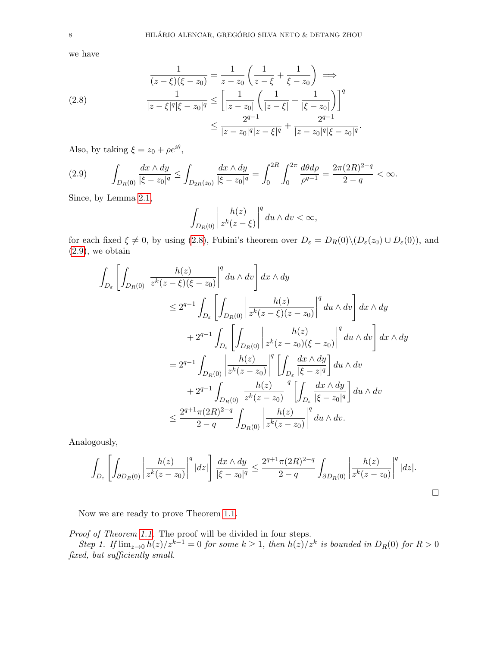we have

<span id="page-7-0"></span>
$$
\frac{1}{(z-\xi)(\xi-z_0)} = \frac{1}{z-z_0} \left( \frac{1}{z-\xi} + \frac{1}{\xi-z_0} \right) \implies
$$
\n
$$
\frac{1}{|z-\xi|^q |\xi-z_0|^q} \le \left[ \frac{1}{|z-z_0|} \left( \frac{1}{|z-\xi|} + \frac{1}{|\xi-z_0|} \right) \right]^q
$$
\n
$$
\le \frac{2^{q-1}}{|z-z_0|^q |z-\xi|^q} + \frac{2^{q-1}}{|z-z_0|^q |\xi-z_0|^q}.
$$

Also, by taking  $\xi = z_0 + \rho e^{i\theta}$ ,

<span id="page-7-1"></span>
$$
(2.9) \qquad \int_{D_R(0)} \frac{dx \wedge dy}{|\xi - z_0|^q} \le \int_{D_{2R}(z_0)} \frac{dx \wedge dy}{|\xi - z_0|^q} = \int_0^{2R} \int_0^{2\pi} \frac{d\theta d\rho}{\rho^{q-1}} = \frac{2\pi (2R)^{2-q}}{2-q} < \infty.
$$

Since, by Lemma [2.1,](#page-4-1)

$$
\int_{D_R(0)} \left| \frac{h(z)}{z^k (z-\xi)} \right|^q du \wedge dv < \infty,
$$

for each fixed  $\xi \neq 0$ , by using [\(2.8\)](#page-7-0), Fubini's theorem over  $D_{\varepsilon} = D_R(0) \setminus (D_{\varepsilon}(z_0) \cup D_{\varepsilon}(0))$ , and  $(2.9)$ , we obtain

$$
\int_{D_{\varepsilon}} \left[ \int_{D_{R}(0)} \left| \frac{h(z)}{z^{k}(z-\xi)(\xi-z_{0})} \right|^{q} du \wedge dv \right] dx \wedge dy
$$
\n
$$
\leq 2^{q-1} \int_{D_{\varepsilon}} \left[ \int_{D_{R}(0)} \left| \frac{h(z)}{z^{k}(z-\xi)(z-z_{0})} \right|^{q} du \wedge dv \right] dx \wedge dy
$$
\n
$$
+ 2^{q-1} \int_{D_{\varepsilon}} \left[ \int_{D_{R}(0)} \left| \frac{h(z)}{z^{k}(z-z_{0})(\xi-z_{0})} \right|^{q} du \wedge dv \right] dx \wedge dy
$$
\n
$$
= 2^{q-1} \int_{D_{R}(0)} \left| \frac{h(z)}{z^{k}(z-z_{0})} \right|^{q} \left[ \int_{D_{\varepsilon}} \frac{dx \wedge dy}{|\xi-z|^{q}} \right] du \wedge dv
$$
\n
$$
+ 2^{q-1} \int_{D_{R}(0)} \left| \frac{h(z)}{z^{k}(z-z_{0})} \right|^{q} \left[ \int_{D_{\varepsilon}} \frac{dx \wedge dy}{|\xi-z_{0}|^{q}} \right] du \wedge dv
$$
\n
$$
\leq \frac{2^{q+1} \pi (2R)^{2-q}}{2-q} \int_{D_{R}(0)} \left| \frac{h(z)}{z^{k}(z-z_{0})} \right|^{q} du \wedge dv.
$$

Analogously,

$$
\int_{D_{\varepsilon}}\left[\int_{\partial D_R(0)}\left|\frac{h(z)}{z^k(z-z_0)}\right|^q |dz|\right]\frac{dx\wedge dy}{|\xi-z_0|^q}\leq \frac{2^{q+1}\pi(2R)^{2-q}}{2-q}\int_{\partial D_R(0)}\left|\frac{h(z)}{z^k(z-z_0)}\right|^q |dz|.
$$

 $\Box$ 

Now we are ready to prove Theorem [1.1.](#page-1-2)

Proof of Theorem [1.1.](#page-1-2) The proof will be divided in four steps.

Step 1. If  $\lim_{z\to 0} h(z)/z^{k-1} = 0$  for some  $k \geq 1$ , then  $h(z)/z^k$  is bounded in  $D_R(0)$  for  $R > 0$ fixed, but sufficiently small.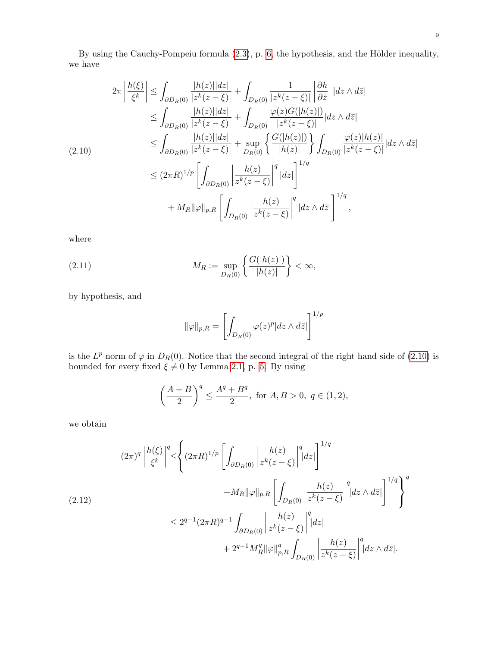By using the Cauchy-Pompeiu formula  $(2.3)$ , p. [6,](#page-5-2) the hypothesis, and the Hölder inequality, we have

<span id="page-8-0"></span>
$$
2\pi \left| \frac{h(\xi)}{\xi^k} \right| \leq \int_{\partial D_R(0)} \frac{|h(z)||dz|}{|z^k(z-\xi)|} + \int_{D_R(0)} \frac{1}{|z^k(z-\xi)|} \left| \frac{\partial h}{\partial \bar{z}} \right| |dz \wedge d\bar{z}|
$$
  
\n
$$
\leq \int_{\partial D_R(0)} \frac{|h(z)||dz|}{|z^k(z-\xi)|} + \int_{D_R(0)} \frac{\varphi(z)G(|h(z)|)}{|z^k(z-\xi)|} |dz \wedge d\bar{z}|
$$
  
\n
$$
\leq \int_{\partial D_R(0)} \frac{|h(z)||dz|}{|z^k(z-\xi)|} + \sup_{D_R(0)} \left\{ \frac{G(|h(z)|)}{|h(z)|} \right\} \int_{D_R(0)} \frac{\varphi(z)|h(z)|}{|z^k(z-\xi)|} |dz \wedge d\bar{z}|
$$
  
\n
$$
\leq (2\pi R)^{1/p} \left[ \int_{\partial D_R(0)} \left| \frac{h(z)}{z^k(z-\xi)} \right|^q |dz| \right]^{1/q}
$$
  
\n
$$
+ M_R \|\varphi\|_{p,R} \left[ \int_{D_R(0)} \left| \frac{h(z)}{z^k(z-\xi)} \right|^q |dz \wedge d\bar{z}| \right]^{1/q},
$$

where

(2.11) 
$$
M_R := \sup_{D_R(0)} \left\{ \frac{G(|h(z)|)}{|h(z)|} \right\} < \infty,
$$

by hypothesis, and

<span id="page-8-2"></span>
$$
\|\varphi\|_{p,R}=\left[\int_{D_R(0)}\varphi(z)^p|dz\wedge d\bar{z}|\right]^{1/p}
$$

is the  $L^p$  norm of  $\varphi$  in  $D_R(0)$ . Notice that the second integral of the right hand side of [\(2.10\)](#page-8-0) is bounded for every fixed  $\xi \neq 0$  by Lemma [2.1,](#page-4-1) p. [5.](#page-4-1) By using

$$
\left(\frac{A+B}{2}\right)^q \le \frac{A^q + B^q}{2}, \text{ for } A, B > 0, q \in (1, 2),
$$

we obtain

<span id="page-8-1"></span>
$$
(2\pi)^q \left| \frac{h(\xi)}{\xi^k} \right|^q \leq \left\{ (2\pi R)^{1/p} \left[ \int_{\partial D_R(0)} \left| \frac{h(z)}{z^k(z-\xi)} \right|^q |dz| \right]^{1/q} + M_R \|\varphi\|_{p,R} \left[ \int_{D_R(0)} \left| \frac{h(z)}{z^k(z-\xi)} \right|^q |dz \wedge d\bar{z}| \right]^{1/q} \right\}^q
$$
  

$$
\leq 2^{q-1} (2\pi R)^{q-1} \int_{\partial D_R(0)} \left| \frac{h(z)}{z^k(z-\xi)} \right|^q |dz|
$$
  

$$
+ 2^{q-1} M_R^q \|\varphi\|_{p,R}^q \int_{D_R(0)} \left| \frac{h(z)}{z^k(z-\xi)} \right|^q |dz \wedge d\bar{z}|.
$$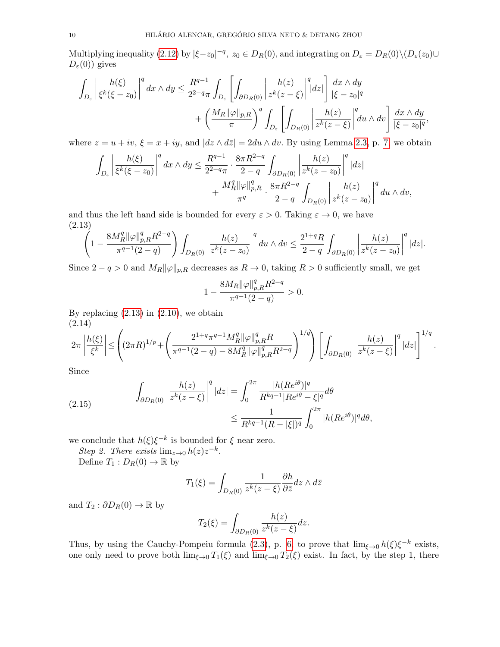Multiplying inequality [\(2.12\)](#page-8-1) by  $|\xi - z_0|^{-q}$ ,  $z_0 \in D_R(0)$ , and integrating on  $D_\varepsilon = D_R(0) \setminus (D_\varepsilon(z_0) \cup$  $D_{\varepsilon}(0)$ ) gives

$$
\int_{D_{\varepsilon}} \left| \frac{h(\xi)}{\xi^{k}(\xi - z_{0})} \right|^{q} dx \wedge dy \leq \frac{R^{q-1}}{2^{2-q}\pi} \int_{D_{\varepsilon}} \left[ \int_{\partial D_{R}(0)} \left| \frac{h(z)}{z^{k}(z - \xi)} \right|^{q} |dz| \right] \frac{dx \wedge dy}{|\xi - z_{0}|^{q}} + \left( \frac{M_{R} \|\varphi\|_{p, R}}{\pi} \right)^{q} \int_{D_{\varepsilon}} \left[ \int_{D_{R}(0)} \left| \frac{h(z)}{z^{k}(z - \xi)} \right|^{q} du \wedge dv \right] \frac{dx \wedge dy}{|\xi - z_{0}|^{q}},
$$

where  $z = u + iv$ ,  $\xi = x + iy$ , and  $|dz \wedge d\overline{z}| = 2du \wedge dv$ . By using Lemma [2.3,](#page-6-1) p. [7,](#page-6-1) we obtain

$$
\int_{D_{\varepsilon}} \left| \frac{h(\xi)}{\xi^{k}(\xi - z_{0})} \right|^{q} dx \wedge dy \leq \frac{R^{q-1}}{2^{2-q}\pi} \cdot \frac{8\pi R^{2-q}}{2-q} \int_{\partial D_{R}(0)} \left| \frac{h(z)}{z^{k}(z - z_{0})} \right|^{q} |dz| + \frac{M_{R}^{q} ||\varphi||_{p,R}^{q}}{\pi^{q}} \cdot \frac{8\pi R^{2-q}}{2-q} \int_{D_{R}(0)} \left| \frac{h(z)}{z^{k}(z - z_{0})} \right|^{q} du \wedge dv,
$$

and thus the left hand side is bounded for every  $\varepsilon > 0$ . Taking  $\varepsilon \to 0$ , we have (2.13)

<span id="page-9-0"></span>
$$
\left(1 - \frac{8M_R^q \|\varphi\|_{p,R}^q R^{2-q}}{\pi^{q-1}(2-q)}\right) \int_{D_R(0)} \left|\frac{h(z)}{z^k(z-z_0)}\right|^q du \wedge dv \le \frac{2^{1+q} R}{2-q} \int_{\partial D_R(0)} \left|\frac{h(z)}{z^k(z-z_0)}\right|^q |dz|.
$$

Since  $2 - q > 0$  and  $M_R ||\varphi||_{p,R}$  decreases as  $R \to 0$ , taking  $R > 0$  sufficiently small, we get

$$
1 - \frac{8M_R \|\varphi\|_{p,R}^q R^{2-q}}{\pi^{q-1}(2-q)} > 0.
$$

By replacing  $(2.13)$  in  $(2.10)$ , we obtain (2.14)

<span id="page-9-1"></span>
$$
2\pi \left| \frac{h(\xi)}{\xi^k} \right| \leq \left( (2\pi R)^{1/p} + \left( \frac{2^{1+q} \pi^{q-1} M_R^q \|\varphi\|_{p,R}^q R}{\pi^{q-1} (2-q) - 8M_R^q \|\varphi\|_{p,R}^q R^{2-q}} \right)^{1/q} \right) \left[ \int_{\partial D_R(0)} \left| \frac{h(z)}{z^k (z-\xi)} \right|^q |dz| \right]^{1/q}.
$$

Since

(2.15) 
$$
\int_{\partial D_R(0)} \left| \frac{h(z)}{z^k(z-\xi)} \right|^q |dz| = \int_0^{2\pi} \frac{|h(Re^{i\theta})|^q}{R^{kq-1} |Re^{i\theta} - \xi|^q} d\theta \leq \frac{1}{R^{kq-1} (R - |\xi|)^q} \int_0^{2\pi} |h(Re^{i\theta})|^q d\theta,
$$

we conclude that  $h(\xi)\xi^{-k}$  is bounded for  $\xi$  near zero.

Step 2. There exists  $\lim_{z\to 0} h(z)z^{-k}$ .

Define  $T_1: D_R(0) \to \mathbb{R}$  by

$$
T_1(\xi) = \int_{D_R(0)} \frac{1}{z^k(z-\xi)} \frac{\partial h}{\partial \bar{z}} dz \wedge d\bar{z}
$$

and  $T_2$  :  $\partial D_R(0) \to \mathbb{R}$  by

$$
T_2(\xi) = \int_{\partial D_R(0)} \frac{h(z)}{z^k(z-\xi)} dz.
$$

Thus, by using the Cauchy-Pompeiu formula [\(2.3\)](#page-5-2), p. [6,](#page-5-2) to prove that  $\lim_{\xi \to 0} h(\xi) \xi^{-k}$  exists, one only need to prove both  $\lim_{\xi\to 0} T_1(\xi)$  and  $\lim_{\xi\to 0} T_2(\xi)$  exist. In fact, by the step 1, there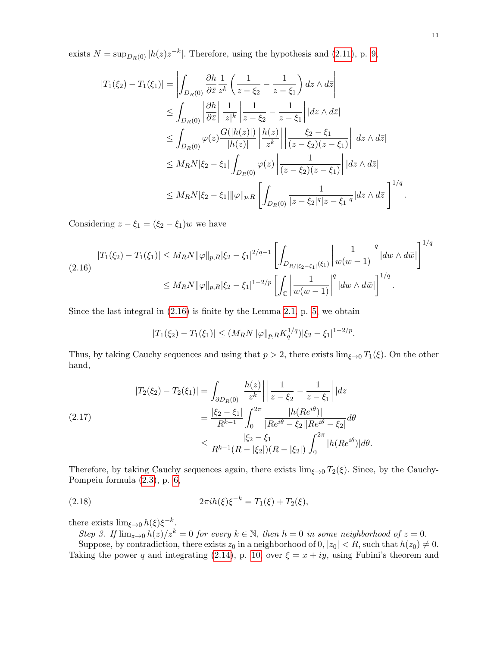exists  $N = \sup_{D_R(0)} |h(z)z^{-k}|$ . Therefore, using the hypothesis and [\(2.11\)](#page-8-2), p. [9,](#page-8-2)

$$
|T_{1}(\xi_{2}) - T_{1}(\xi_{1})| = \left| \int_{D_{R}(0)} \frac{\partial h}{\partial \bar{z}} \frac{1}{z^{k}} \left( \frac{1}{z - \xi_{2}} - \frac{1}{z - \xi_{1}} \right) dz \wedge d\bar{z} \right|
$$
  
\n
$$
\leq \int_{D_{R}(0)} \left| \frac{\partial h}{\partial \bar{z}} \right| \frac{1}{|z|^{k}} \left| \frac{1}{z - \xi_{2}} - \frac{1}{z - \xi_{1}} \right| |dz \wedge d\bar{z}|
$$
  
\n
$$
\leq \int_{D_{R}(0)} \varphi(z) \frac{G(|h(z)|)}{|h(z)|} \left| \frac{h(z)}{z^{k}} \right| \left| \frac{\xi_{2} - \xi_{1}}{(z - \xi_{2})(z - \xi_{1})} \right| |dz \wedge d\bar{z}|
$$
  
\n
$$
\leq M_{R} N |\xi_{2} - \xi_{1}| \int_{D_{R}(0)} \varphi(z) \left| \frac{1}{(z - \xi_{2})(z - \xi_{1})} \right| |dz \wedge d\bar{z}|
$$
  
\n
$$
\leq M_{R} N |\xi_{2} - \xi_{1}| ||\varphi||_{p, R} \left[ \int_{D_{R}(0)} \frac{1}{|z - \xi_{2}|^{q} |z - \xi_{1}|^{q}} |dz \wedge d\bar{z}| \right]^{1/q}.
$$

Considering  $z - \xi_1 = (\xi_2 - \xi_1)w$  we have

<span id="page-10-0"></span>
$$
|T_1(\xi_2) - T_1(\xi_1)| \le M_R N \|\varphi\|_{p,R} |\xi_2 - \xi_1|^{2/q-1} \left[ \int_{D_{R/|\xi_2 - \xi_1|}(\xi_1)} \left| \frac{1}{w(w-1)} \right|^q |dw \wedge d\bar{w}| \right]^{1/q}
$$
  

$$
\le M_R N \|\varphi\|_{p,R} |\xi_2 - \xi_1|^{1-2/p} \left[ \int_{\mathbb{C}} \left| \frac{1}{w(w-1)} \right|^q |dw \wedge d\bar{w}| \right]^{1/q}.
$$

Since the last integral in [\(2.16\)](#page-10-0) is finite by the Lemma [2.1,](#page-4-1) p. [5,](#page-4-1) we obtain

$$
|T_1(\xi_2) - T_1(\xi_1)| \le (M_R N \|\varphi\|_{p,R} K_q^{1/q}) |\xi_2 - \xi_1|^{1-2/p}.
$$

Thus, by taking Cauchy sequences and using that  $p > 2$ , there exists  $\lim_{\xi \to 0} T_1(\xi)$ . On the other hand,

$$
(2.17)
$$
\n
$$
|T_{2}(\xi_{2}) - T_{2}(\xi_{1})| = \int_{\partial D_{R}(0)} \left| \frac{h(z)}{z^{k}} \right| \left| \frac{1}{z - \xi_{2}} - \frac{1}{z - \xi_{1}} \right| |dz|
$$
\n
$$
= \frac{|\xi_{2} - \xi_{1}|}{R^{k-1}} \int_{0}^{2\pi} \frac{|h(Re^{i\theta})|}{|Re^{i\theta} - \xi_{2}| |Re^{i\theta} - \xi_{2}|} d\theta
$$
\n
$$
\leq \frac{|\xi_{2} - \xi_{1}|}{R^{k-1}(R - |\xi_{2}|)(R - |\xi_{2}|)} \int_{0}^{2\pi} |h(Re^{i\theta})| d\theta.
$$

Therefore, by taking Cauchy sequences again, there exists  $\lim_{\xi \to 0} T_2(\xi)$ . Since, by the Cauchy-Pompeiu formula [\(2.3\)](#page-5-2), p. [6,](#page-5-2)

(2.18) 
$$
2\pi i h(\xi)\xi^{-k} = T_1(\xi) + T_2(\xi),
$$

there exists  $\lim_{\xi \to 0} h(\xi) \xi^{-k}$ .

Step 3. If  $\lim_{z\to 0} h(z)/z^k = 0$  for every  $k \in \mathbb{N}$ , then  $h = 0$  in some neighborhood of  $z = 0$ .

Suppose, by contradiction, there exists  $z_0$  in a neighborhood of  $0, |z_0| < R$ , such that  $h(z_0) \neq 0$ . Taking the power q and integrating [\(2.14\)](#page-9-1), p. [10,](#page-9-1) over  $\xi = x + iy$ , using Fubini's theorem and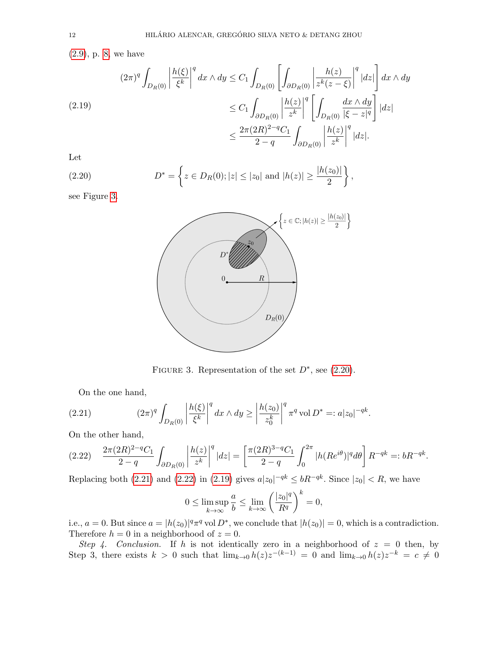[\(2.9\)](#page-7-1), p. [8,](#page-7-1) we have

<span id="page-11-4"></span>
$$
(2.19)
$$
\n
$$
(2.19)
$$
\n
$$
\begin{aligned}\n &\left(2\pi\right)^{q} \int_{D_{R}(0)} \left|\frac{h(\xi)}{\xi^{k}}\right|^{q} dx \wedge dy \leq C_{1} \int_{D_{R}(0)} \left[\int_{\partial D_{R}(0)} \left|\frac{h(z)}{z^{k}(z-\xi)}\right|^{q} |dz|\right] dx \wedge dy \\
 &\leq C_{1} \int_{\partial D_{R}(0)} \left|\frac{h(z)}{z^{k}}\right|^{q} \left[\int_{D_{R}(0)} \frac{dx \wedge dy}{|\xi-z|^{q}}\right] |dz| \\
 &\leq \frac{2\pi (2R)^{2-q} C_{1}}{2-q} \int_{\partial D_{R}(0)} \left|\frac{h(z)}{z^{k}}\right|^{q} |dz|.\n \end{aligned}
$$

Let

(2.20) 
$$
D^* = \left\{ z \in D_R(0); |z| \le |z_0| \text{ and } |h(z)| \ge \frac{|h(z_0)|}{2} \right\},
$$

see Figure [3.](#page-11-0)

<span id="page-11-1"></span>

<span id="page-11-2"></span><span id="page-11-0"></span>FIGURE 3. Representation of the set  $D^*$ , see [\(2.20\)](#page-11-1).

On the one hand,

(2.21) 
$$
(2\pi)^q \int_{D_R(0)} \left| \frac{h(\xi)}{\xi^k} \right|^q dx \wedge dy \ge \left| \frac{h(z_0)}{z_0^k} \right|^q \pi^q \text{ vol } D^* =: a|z_0|^{-qk}.
$$

On the other hand,

<span id="page-11-3"></span>
$$
(2.22) \quad \frac{2\pi (2R)^{2-q}C_1}{2-q} \int_{\partial D_R(0)} \left| \frac{h(z)}{z^k} \right|^q |dz| = \left[ \frac{\pi (2R)^{3-q}C_1}{2-q} \int_0^{2\pi} |h(Re^{i\theta})|^q d\theta \right] R^{-qk} =: bR^{-qk}.
$$

Replacing both [\(2.21\)](#page-11-2) and [\(2.22\)](#page-11-3) in [\(2.19\)](#page-11-4) gives  $a|z_0|^{-qk} \le bR^{-qk}$ . Since  $|z_0| < R$ , we have

$$
0 \le \limsup_{k \to \infty} \frac{a}{b} \le \lim_{k \to \infty} \left(\frac{|z_0|^q}{R^q}\right)^k = 0,
$$

i.e.,  $a = 0$ . But since  $a = |h(z_0)|^q \pi^q$  vol  $D^*$ , we conclude that  $|h(z_0)| = 0$ , which is a contradiction. Therefore  $h = 0$  in a neighborhood of  $z = 0$ .

Step 4. Conclusion. If h is not identically zero in a neighborhood of  $z = 0$  then, by Step 3, there exists  $k > 0$  such that  $\lim_{k\to 0} h(z)z^{-(k-1)} = 0$  and  $\lim_{k\to 0} h(z)z^{-k} = c \neq 0$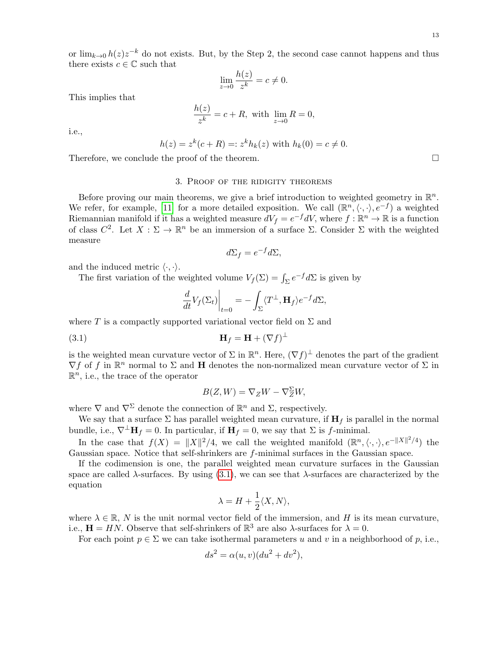or  $\lim_{k\to 0} h(z)z^{-k}$  do not exists. But, by the Step 2, the second case cannot happens and thus there exists  $c \in \mathbb{C}$  such that

$$
\lim_{z \to 0} \frac{h(z)}{z^k} = c \neq 0.
$$

This implies that

$$
\frac{h(z)}{z^k} = c + R, \text{ with } \lim_{z \to 0} R = 0,
$$

i.e.,

$$
h(z) = z^k(c+R) =: z^k h_k(z)
$$
 with  $h_k(0) = c \neq 0$ .

Therefore, we conclude the proof of the theorem.

## 3. Proof of the ridigity theorems

<span id="page-12-0"></span>Before proving our main theorems, we give a brief introduction to weighted geometry in  $\mathbb{R}^n$ . We refer, for example, [\[11\]](#page-26-13) for a more detailed exposition. We call  $(\mathbb{R}^n, \langle \cdot, \cdot \rangle, e^{-f})$  a weighted Riemannian manifold if it has a weighted measure  $dV_f = e^{-f}dV$ , where  $f : \mathbb{R}^n \to \mathbb{R}$  is a function of class  $C^2$ . Let  $X : \Sigma \to \mathbb{R}^n$  be an immersion of a surface  $\Sigma$ . Consider  $\Sigma$  with the weighted measure

$$
d\Sigma_f = e^{-f}d\Sigma,
$$

and the induced metric  $\langle \cdot, \cdot \rangle$ .

The first variation of the weighted volume  $V_f(\Sigma) = \int_{\Sigma} e^{-f} d\Sigma$  is given by

<span id="page-12-1"></span>
$$
\frac{d}{dt}V_f(\Sigma_t)\bigg|_{t=0} = -\int_{\Sigma} \langle T^{\perp}, \mathbf{H}_f \rangle e^{-f} d\Sigma,
$$

where T is a compactly supported variational vector field on  $\Sigma$  and

$$
\mathbf{H}_f = \mathbf{H} + (\nabla f)^{\perp}
$$

is the weighted mean curvature vector of  $\Sigma$  in  $\mathbb{R}^n$ . Here,  $(\nabla f)^{\perp}$  denotes the part of the gradient  $\nabla f$  of f in  $\mathbb{R}^n$  normal to  $\Sigma$  and **H** denotes the non-normalized mean curvature vector of  $\Sigma$  in  $\mathbb{R}^n$ , i.e., the trace of the operator

$$
B(Z, W) = \nabla_Z W - \nabla_Z^{\Sigma} W,
$$

where  $\nabla$  and  $\nabla^{\Sigma}$  denote the connection of  $\mathbb{R}^{n}$  and  $\Sigma$ , respectively.

We say that a surface  $\Sigma$  has parallel weighted mean curvature, if  $H_f$  is parallel in the normal bundle, i.e.,  $\nabla^{\perp} \mathbf{H}_f = 0$ . In particular, if  $\mathbf{H}_f = 0$ , we say that  $\Sigma$  is f-minimal.

In the case that  $f(X) = ||X||^2/4$ , we call the weighted manifold  $(\mathbb{R}^n, \langle \cdot, \cdot \rangle, e^{-||X||^2/4})$  the Gaussian space. Notice that self-shrinkers are f-minimal surfaces in the Gaussian space.

If the codimension is one, the parallel weighted mean curvature surfaces in the Gaussian space are called  $\lambda$ -surfaces. By using  $(3.1)$ , we can see that  $\lambda$ -surfaces are characterized by the equation

$$
\lambda = H + \frac{1}{2} \langle X, N \rangle,
$$

where  $\lambda \in \mathbb{R}$ , N is the unit normal vector field of the immersion, and H is its mean curvature, i.e.,  $\mathbf{H} = HN$ . Observe that self-shrinkers of  $\mathbb{R}^3$  are also  $\lambda$ -surfaces for  $\lambda = 0$ .

For each point  $p \in \Sigma$  we can take isothermal parameters u and v in a neighborhood of p, i.e.,

$$
ds^2 = \alpha(u, v)(du^2 + dv^2),
$$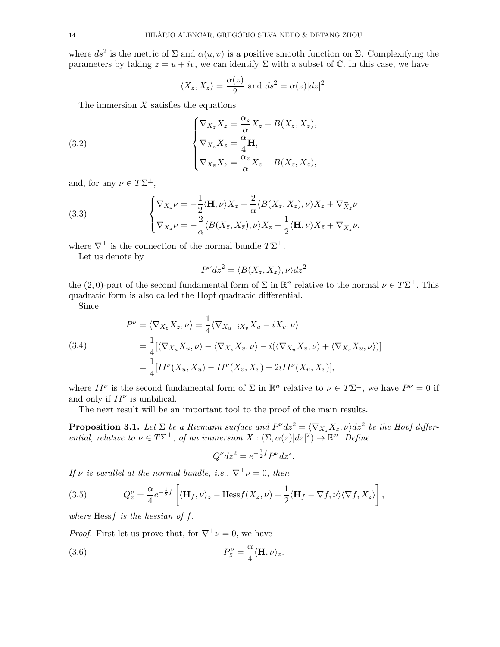where  $ds^2$  is the metric of  $\Sigma$  and  $\alpha(u, v)$  is a positive smooth function on  $\Sigma$ . Complexifying the parameters by taking  $z = u + iv$ , we can identify  $\Sigma$  with a subset of  $\mathbb C$ . In this case, we have

<span id="page-13-0"></span>
$$
\langle X_z, X_{\overline{z}} \rangle = \frac{\alpha(z)}{2}
$$
 and  $ds^2 = \alpha(z)|dz|^2$ .

The immersion  $X$  satisfies the equations

(3.2) 
$$
\begin{cases} \nabla_{X_z} X_z = \frac{\alpha_z}{\alpha} X_z + B(X_z, X_z), \\ \nabla_{X_{\bar{z}}} X_z = \frac{\alpha}{4} \mathbf{H}, \\ \nabla_{X_{\bar{z}}} X_{\bar{z}} = \frac{\alpha_{\bar{z}}}{\alpha} X_{\bar{z}} + B(X_{\bar{z}}, X_{\bar{z}}), \end{cases}
$$

and, for any  $\nu \in T\Sigma^{\perp}$ ,

<span id="page-13-1"></span>(3.3) 
$$
\begin{cases} \nabla_{X_z} \nu = -\frac{1}{2} \langle \mathbf{H}, \nu \rangle X_z - \frac{2}{\alpha} \langle B(X_z, X_z), \nu \rangle X_{\bar{z}} + \nabla_{X_z}^{\perp} \nu \\ \nabla_{X_{\bar{z}}} \nu = -\frac{2}{\alpha} \langle B(X_{\bar{z}}, X_{\bar{z}}), \nu \rangle X_z - \frac{1}{2} \langle \mathbf{H}, \nu \rangle X_{\bar{z}} + \nabla_{X_{\bar{z}}}^{\perp} \nu, \end{cases}
$$

where  $\nabla^{\perp}$  is the connection of the normal bundle  $T\Sigma^{\perp}$ .

Let us denote by

$$
P^{\nu}dz^2 = \langle B(X_z, X_z), \nu \rangle dz^2
$$

the (2,0)-part of the second fundamental form of  $\Sigma$  in  $\mathbb{R}^n$  relative to the normal  $\nu \in T\Sigma^{\perp}$ . This quadratic form is also called the Hopf quadratic differential.

Since

<span id="page-13-2"></span>(3.4)  
\n
$$
P^{\nu} = \langle \nabla_{X_z} X_z, \nu \rangle = \frac{1}{4} \langle \nabla_{X_u - iX_v} X_u - iX_v, \nu \rangle
$$
\n
$$
= \frac{1}{4} [\langle \nabla_{X_u} X_u, \nu \rangle - \langle \nabla_{X_v} X_v, \nu \rangle - i(\langle \nabla_{X_u} X_v, \nu \rangle + \langle \nabla_{X_v} X_u, \nu \rangle)]
$$
\n
$$
= \frac{1}{4} [II^{\nu}(X_u, X_u) - II^{\nu}(X_v, X_v) - 2iII^{\nu}(X_u, X_v)],
$$

where  $II^{\nu}$  is the second fundamental form of  $\Sigma$  in  $\mathbb{R}^n$  relative to  $\nu \in T\Sigma^{\perp}$ , we have  $P^{\nu} = 0$  if and only if  $II^{\nu}$  is umbilical.

The next result will be an important tool to the proof of the main results.

<span id="page-13-3"></span>**Proposition 3.1.** Let  $\Sigma$  be a Riemann surface and  $P^{\nu}dz^{2} = \langle \nabla_{X_{z}} X_{z}, \nu \rangle dz^{2}$  be the Hopf differential, relative to  $\nu \in T\Sigma^{\perp}$ , of an immersion  $X : (\Sigma, \alpha(z)|dz|^2) \to \mathbb{R}^n$ . Define

$$
Q^{\nu}dz^2 = e^{-\frac{1}{2}f}P^{\nu}dz^2.
$$

If v is parallel at the normal bundle, i.e.,  $\nabla^{\perp} \nu = 0$ , then

(3.5) 
$$
Q_{\bar{z}}^{\nu} = \frac{\alpha}{4} e^{-\frac{1}{2}f} \left[ \langle \mathbf{H}_f, \nu \rangle_z - \text{Hess} f(X_z, \nu) + \frac{1}{2} \langle \mathbf{H}_f - \nabla f, \nu \rangle \langle \nabla f, X_z \rangle \right],
$$

where  $Hess f$  is the hessian of  $f$ .

*Proof.* First let us prove that, for  $\nabla^{\perp} \nu = 0$ , we have

(3.6) 
$$
P_{\bar{z}}^{\nu} = \frac{\alpha}{4} \langle \mathbf{H}, \nu \rangle_z.
$$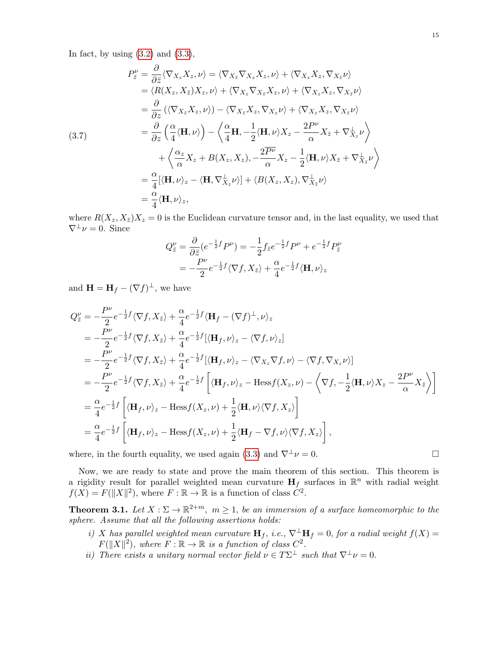In fact, by using  $(3.2)$  and  $(3.3)$ ,

$$
P_{\bar{z}}^{\nu} = \frac{\partial}{\partial \bar{z}} \langle \nabla_{X_{z}} X_{z}, \nu \rangle = \langle \nabla_{X_{\bar{z}}} \nabla_{X_{z}} X_{z}, \nu \rangle + \langle \nabla_{X_{z}} X_{z}, \nabla_{X_{\bar{z}}} \nu \rangle
$$
  
\n
$$
= \langle R(X_{z}, X_{\bar{z}}) X_{z}, \nu \rangle + \langle \nabla_{X_{z}} \nabla_{X_{\bar{z}}} X_{z}, \nu \rangle + \langle \nabla_{X_{z}} X_{z}, \nabla_{X_{\bar{z}}} \nu \rangle
$$
  
\n
$$
= \frac{\partial}{\partial z} \left( \langle \nabla_{X_{\bar{z}}} X_{z}, \nu \rangle \right) - \langle \nabla_{X_{\bar{z}}} X_{z}, \nabla_{X_{z}} \nu \rangle + \langle \nabla_{X_{z}} X_{z}, \nabla_{X_{\bar{z}}} \nu \rangle
$$
  
\n(3.7)  
\n
$$
= \frac{\partial}{\partial z} \left( \frac{\alpha}{4} \langle \mathbf{H}, \nu \rangle \right) - \langle \frac{\alpha}{4} \mathbf{H}, -\frac{1}{2} \langle \mathbf{H}, \nu \rangle X_{z} - \frac{2P^{\nu}}{\alpha} X_{\bar{z}} + \nabla_{X_{z}}^{\perp} \nu \rangle
$$
  
\n
$$
+ \langle \frac{\alpha_{z}}{\alpha} X_{z} + B(X_{z}, X_{z}), -\frac{2P^{\nu}}{\alpha} X_{z} - \frac{1}{2} \langle \mathbf{H}, \nu \rangle X_{\bar{z}} + \nabla_{X_{z}}^{\perp} \nu \rangle
$$
  
\n
$$
= \frac{\alpha}{4} [\langle \mathbf{H}, \nu \rangle_{z} - \langle \mathbf{H}, \nabla_{X_{z}}^{\perp} \nu \rangle] + \langle B(X_{z}, X_{z}), \nabla_{X_{\bar{z}}}^{\perp} \nu \rangle
$$
  
\n
$$
= \frac{\alpha}{4} \langle \mathbf{H}, \nu \rangle_{z},
$$

where  $R(X_z, X_{\bar{z}})X_z = 0$  is the Euclidean curvature tensor and, in the last equality, we used that  $\nabla^{\perp} \nu = 0$ . Since

$$
Q_{\bar{z}}^{\nu} = \frac{\partial}{\partial \bar{z}} (e^{-\frac{1}{2}f} P^{\nu}) = -\frac{1}{2} f_{\bar{z}} e^{-\frac{1}{2}f} P^{\nu} + e^{-\frac{1}{2}f} P_{\bar{z}}^{\nu}
$$

$$
= -\frac{P^{\nu}}{2} e^{-\frac{1}{2}f} \langle \nabla f, X_{\bar{z}} \rangle + \frac{\alpha}{4} e^{-\frac{1}{2}f} \langle \mathbf{H}, \nu \rangle_{z}
$$

and  $\mathbf{H} = \mathbf{H}_f - (\nabla f)^{\perp}$ , we have

$$
Q_{\bar{z}}^{\nu} = -\frac{P^{\nu}}{2} e^{-\frac{1}{2}f} \langle \nabla f, X_{\bar{z}} \rangle + \frac{\alpha}{4} e^{-\frac{1}{2}f} \langle \mathbf{H}_f - (\nabla f)^{\perp}, \nu \rangle_z
$$
  
\n
$$
= -\frac{P^{\nu}}{2} e^{-\frac{1}{2}f} \langle \nabla f, X_{\bar{z}} \rangle + \frac{\alpha}{4} e^{-\frac{1}{2}f} [\langle \mathbf{H}_f, \nu \rangle_z - \langle \nabla f, \nu \rangle_z]
$$
  
\n
$$
= -\frac{P^{\nu}}{2} e^{-\frac{1}{2}f} \langle \nabla f, X_{\bar{z}} \rangle + \frac{\alpha}{4} e^{-\frac{1}{2}f} [\langle \mathbf{H}_f, \nu \rangle_z - \langle \nabla_{X_z} \nabla f, \nu \rangle - \langle \nabla f, \nabla_{X_z} \nu \rangle]
$$
  
\n
$$
= -\frac{P^{\nu}}{2} e^{-\frac{1}{2}f} \langle \nabla f, X_{\bar{z}} \rangle + \frac{\alpha}{4} e^{-\frac{1}{2}f} \left[ \langle \mathbf{H}_f, \nu \rangle_z - \text{Hess} f(X_z, \nu) - \langle \nabla f, -\frac{1}{2} \langle \mathbf{H}, \nu \rangle X_z - \frac{2P^{\nu}}{\alpha} X_{\bar{z}} \rangle \right]
$$
  
\n
$$
= \frac{\alpha}{4} e^{-\frac{1}{2}f} \left[ \langle \mathbf{H}_f, \nu \rangle_z - \text{Hess} f(X_z, \nu) + \frac{1}{2} \langle \mathbf{H}, \nu \rangle \langle \nabla f, X_z \rangle \right]
$$
  
\n
$$
= \frac{\alpha}{4} e^{-\frac{1}{2}f} \left[ \langle \mathbf{H}_f, \nu \rangle_z - \text{Hess} f(X_z, \nu) + \frac{1}{2} \langle \mathbf{H}_f - \nabla f, \nu \rangle \langle \nabla f, X_z \rangle \right],
$$

where, in the fourth equality, we used again [\(3.3\)](#page-13-1) and  $\nabla^{\perp} \nu = 0$ .

Now, we are ready to state and prove the main theorem of this section. This theorem is a rigidity result for parallel weighted mean curvature  $H_f$  surfaces in  $\mathbb{R}^n$  with radial weight  $f(X) = F(||X||^2)$ , where  $F : \mathbb{R} \to \mathbb{R}$  is a function of class  $C^2$ .

<span id="page-14-0"></span>**Theorem 3.1.** Let  $X : \Sigma \to \mathbb{R}^{2+m}$ ,  $m \geq 1$ , be an immersion of a surface homeomorphic to the sphere. Assume that all the following assertions holds:

- i) X has parallel weighted mean curvature  $\mathbf{H}_f$ , i.e.,  $\nabla^{\perp} \mathbf{H}_f = 0$ , for a radial weight  $f(X) =$  $F(||X||^2)$ , where  $F : \mathbb{R} \to \mathbb{R}$  is a function of class  $C^2$ .
- ii) There exists a unitary normal vector field  $\nu \in T\Sigma^{\perp}$  such that  $\nabla^{\perp} \nu = 0$ .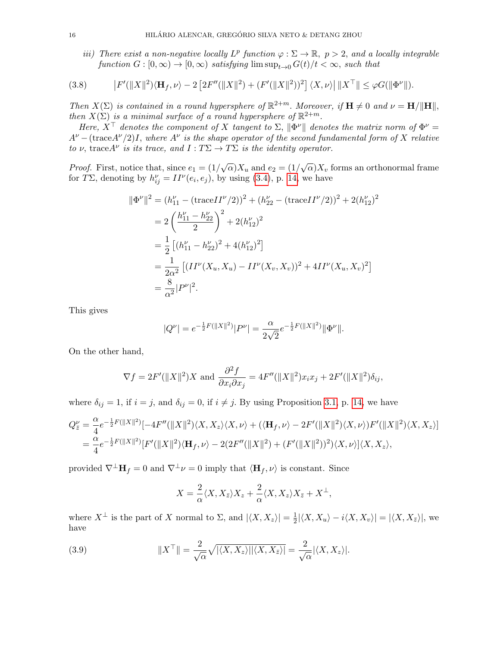<span id="page-15-0"></span>iii) There exist a non-negative locally  $L^p$  function  $\varphi : \Sigma \to \mathbb{R}, p > 2$ , and a locally integrable function  $G : [0, \infty) \to [0, \infty)$  satisfying  $\limsup_{t \to 0} G(t)/t < \infty$ , such that

(3.8) 
$$
\left|F'(\|X\|^2)\langle\mathbf{H}_f,\nu\rangle-2\left[2F''(\|X\|^2)+(F'(\|X\|^2))^2\right]\langle X,\nu\rangle\right|\|X^\top\|\leq\varphi G(\|\Phi^\nu\|).
$$

Then  $X(\Sigma)$  is contained in a round hypersphere of  $\mathbb{R}^{2+m}$ . Moreover, if  $\mathbf{H} \neq 0$  and  $\nu = \mathbf{H}/\|\mathbf{H}\|$ , then  $X(\Sigma)$  is a minimal surface of a round hypersphere of  $\mathbb{R}^{2+m}$ .

Here,  $X^{\top}$  denotes the component of X tangent to  $\Sigma$ ,  $\|\Phi^{\nu}\|$  denotes the matrix norm of  $\Phi^{\nu} =$  $A^{\nu}$  – (trace  $A^{\nu}/2$ )I, where  $A^{\nu}$  is the shape operator of the second fundamental form of X relative to  $\nu$ , trace  $A^{\nu}$  is its trace, and  $I: T\Sigma \to T\Sigma$  is the identity operator.

*Proof.* First, notice that, since  $e_1 = (1/\sqrt{\alpha})X_u$  and  $e_2 = (1/\sqrt{\alpha})X_v$  forms an orthonormal frame for TΣ, denoting by  $h_{ij}^{\nu} = II^{\nu}(e_i, e_j)$ , by using [\(3.4\)](#page-13-2), p. [14,](#page-13-2) we have

$$
\|\Phi^{\nu}\|^{2} = (h_{11}^{\nu} - (\text{trace}II^{\nu}/2))^{2} + (h_{22}^{\nu} - (\text{trace}II^{\nu}/2))^{2} + 2(h_{12}^{\nu})^{2}
$$
  
=  $2\left(\frac{h_{11}^{\nu} - h_{22}^{\nu}}{2}\right)^{2} + 2(h_{12}^{\nu})^{2}$   
=  $\frac{1}{2}\left[(h_{11}^{\nu} - h_{22}^{\nu})^{2} + 4(h_{12}^{\nu})^{2}\right]$   
=  $\frac{1}{2\alpha^{2}}\left[(II^{\nu}(X_{u}, X_{u}) - II^{\nu}(X_{v}, X_{v}))^{2} + 4II^{\nu}(X_{u}, X_{v})^{2}\right]$   
=  $\frac{8}{\alpha^{2}}|P^{\nu}|^{2}.$ 

This gives

$$
|Q^{\nu}| = e^{-\frac{1}{2}F(||X||^2)}|P^{\nu}| = \frac{\alpha}{2\sqrt{2}}e^{-\frac{1}{2}F(||X||^2)}\|\Phi^{\nu}\|.
$$

On the other hand,

$$
\nabla f = 2F'(\|X\|^2)X \text{ and } \frac{\partial^2 f}{\partial x_i \partial x_j} = 4F''(\|X\|^2)x_ix_j + 2F'(\|X\|^2)\delta_{ij},
$$

where  $\delta_{ij} = 1$ , if  $i = j$ , and  $\delta_{ij} = 0$ , if  $i \neq j$ . By using Proposition [3.1,](#page-13-3) p. [14,](#page-13-3) we have

$$
Q_{\bar{z}}^{\nu} = \frac{\alpha}{4} e^{-\frac{1}{2}F(||X||^2)} [-4F''(||X||^2)\langle X, X_z\rangle\langle X, \nu\rangle + (\langle \mathbf{H}_f, \nu\rangle - 2F'(||X||^2)\langle X, \nu\rangle)F'(||X||^2)\langle X, X_z\rangle] = \frac{\alpha}{4} e^{-\frac{1}{2}F(||X||^2)} [F'(||X||^2)\langle \mathbf{H}_f, \nu\rangle - 2(2F''(||X||^2) + (F'(||X||^2))^2)\langle X, \nu\rangle]\langle X, X_z\rangle,
$$

provided  $\nabla^{\perp} \mathbf{H}_f = 0$  and  $\nabla^{\perp} \nu = 0$  imply that  $\langle \mathbf{H}_f , \nu \rangle$  is constant. Since

$$
X = \frac{2}{\alpha} \langle X, X_{\bar{z}} \rangle X_z + \frac{2}{\alpha} \langle X, X_z \rangle X_{\bar{z}} + X^{\perp},
$$

where  $X^{\perp}$  is the part of X normal to  $\Sigma$ , and  $|\langle X, X_z\rangle| = \frac{1}{2}$  $\frac{1}{2}|\langle X, X_u\rangle - i\langle X, X_v\rangle| = |\langle X, X_{\bar{z}}\rangle|,$  we have

(3.9) 
$$
||X^{\top}|| = \frac{2}{\sqrt{\alpha}} \sqrt{|\langle X, X_z \rangle| |\langle X, X_{\overline{z}} \rangle|} = \frac{2}{\sqrt{\alpha}} |\langle X, X_z \rangle|.
$$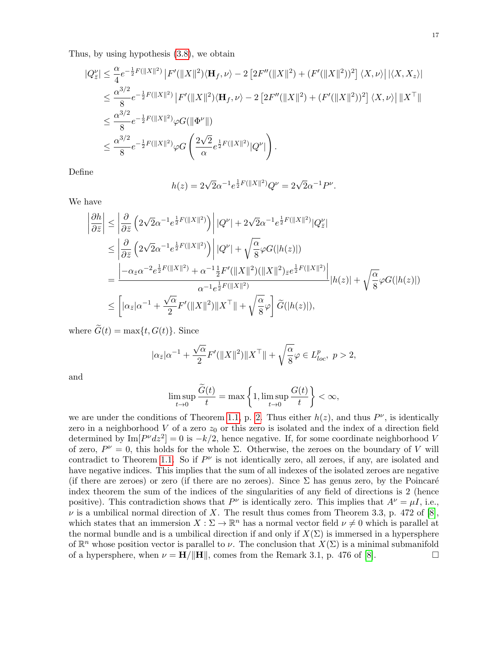Thus, by using hypothesis [\(3.8\)](#page-15-0), we obtain

$$
\begin{split} |Q_{\bar{z}}^{\nu}| &\leq \frac{\alpha}{4}e^{-\frac{1}{2}F(||X||^{2})}\left|F'(\|X\|^{2})\langle\mathbf{H}_{f},\nu\rangle-2\left[2F''(\|X\|^{2})+(F'(\|X\|^{2}))^{2}\right]\langle X,\nu\rangle\right||\langle X,X_{z}\rangle| \\ &\leq \frac{\alpha^{3/2}}{8}e^{-\frac{1}{2}F(||X||^{2})}\left|F'(\|X\|^{2})\langle\mathbf{H}_{f},\nu\rangle-2\left[2F''(\|X\|^{2})+(F'(\|X\|^{2}))^{2}\right]\langle X,\nu\rangle\right|\|X^{\top}\| \\ &\leq \frac{\alpha^{3/2}}{8}e^{-\frac{1}{2}F(\|X\|^{2})}\varphi G(\|\Phi^{\nu}\|) \\ &\leq \frac{\alpha^{3/2}}{8}e^{-\frac{1}{2}F(\|X\|^{2})}\varphi G\left(\frac{2\sqrt{2}}{\alpha}e^{\frac{1}{2}F(\|X\|^{2})}|Q^{\nu}|\right). \end{split}
$$

Define

$$
h(z) = 2\sqrt{2}\alpha^{-1}e^{\frac{1}{2}F(||X||^2)}Q^{\nu} = 2\sqrt{2}\alpha^{-1}P^{\nu}.
$$

We have

$$
\begin{split}\n\left| \frac{\partial h}{\partial \bar{z}} \right| &\leq \left| \frac{\partial}{\partial \bar{z}} \left( 2\sqrt{2}\alpha^{-1} e^{\frac{1}{2}F(||X||^2)} \right) \right| |Q^{\nu}| + 2\sqrt{2}\alpha^{-1} e^{\frac{1}{2}F(||X||^2)} |Q_{\bar{z}}^{\nu}| \\
&\leq \left| \frac{\partial}{\partial \bar{z}} \left( 2\sqrt{2}\alpha^{-1} e^{\frac{1}{2}F(||X||^2)} \right) \right| |Q^{\nu}| + \sqrt{\frac{\alpha}{8}} \varphi G(|h(z)|) \\
&= \frac{\left| -\alpha_{\bar{z}} \alpha^{-2} e^{\frac{1}{2}F(||X||^2)} + \alpha^{-1} \frac{1}{2} F'(||X||^2) (||X||^2)_{\bar{z}} e^{\frac{1}{2}F(||X||^2)} \right|}{\alpha^{-1} e^{\frac{1}{2}F(||X||^2)}} |h(z)| + \sqrt{\frac{\alpha}{8}} \varphi G(|h(z)|) \\
&\leq \left[ |\alpha_{\bar{z}}|\alpha^{-1} + \frac{\sqrt{\alpha}}{2} F'(||X||^2) ||X^{\top}|| + \sqrt{\frac{\alpha}{8}} \varphi \right] \widetilde{G}(|h(z)|),\n\end{split}
$$

where  $\widetilde{G}(t) = \max\{t, G(t)\}\.$  Since

$$
|\alpha_{\bar{z}}|\alpha^{-1}+\frac{\sqrt{\alpha}}{2}F'(\|X\|^2)\|X^\top\|+\sqrt{\frac{\alpha}{8}}\varphi\in L_{loc}^p, \ p>2,
$$

and

$$
\limsup_{t \to 0} \frac{\widetilde{G}(t)}{t} = \max \left\{ 1, \limsup_{t \to 0} \frac{G(t)}{t} \right\} < \infty,
$$

we are under the conditions of Theorem [1.1,](#page-1-2) p. [2.](#page-1-2) Thus either  $h(z)$ , and thus  $P^{\nu}$ , is identically zero in a neighborhood  $V$  of a zero  $z_0$  or this zero is isolated and the index of a direction field determined by  $\text{Im}[P^{\nu}dz^2] = 0$  is  $-k/2$ , hence negative. If, for some coordinate neighborhood V of zero,  $P^{\nu} = 0$ , this holds for the whole  $\Sigma$ . Otherwise, the zeroes on the boundary of V will contradict to Theorem [1.1.](#page-1-2) So if  $P^{\nu}$  is not identically zero, all zeroes, if any, are isolated and have negative indices. This implies that the sum of all indexes of the isolated zeroes are negative (if there are zeroes) or zero (if there are no zeroes). Since  $\Sigma$  has genus zero, by the Poincaré index theorem the sum of the indices of the singularities of any field of directions is 2 (hence positive). This contradiction shows that  $P^{\nu}$  is identically zero. This implies that  $A^{\nu} = \mu I$ , i.e.,  $\nu$  is a umbilical normal direction of X. The result thus comes from Theorem 3.3, p. 472 of [\[8\]](#page-26-14), which states that an immersion  $X : \Sigma \to \mathbb{R}^n$  has a normal vector field  $\nu \neq 0$  which is parallel at the normal bundle and is a umbilical direction if and only if  $X(\Sigma)$  is immersed in a hypersphere of  $\mathbb{R}^n$  whose position vector is parallel to  $\nu$ . The conclusion that  $X(\Sigma)$  is a minimal submanifold of a hypersphere, when  $\nu = \mathbf{H}/\|\mathbf{H}\|$ , comes from the Remark 3.1, p. 476 of [\[8\]](#page-26-14).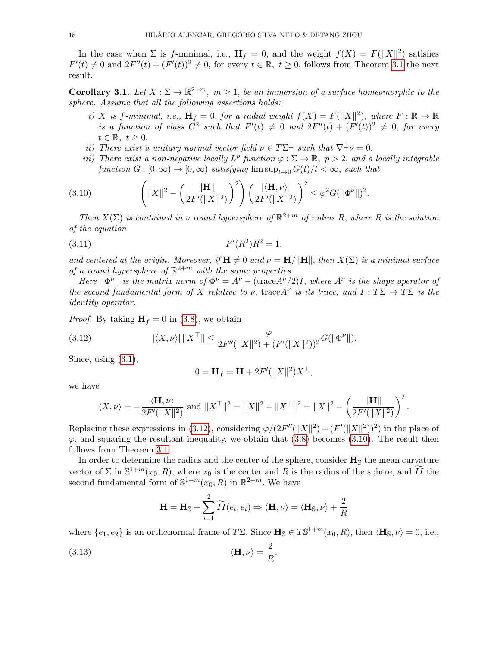In the case when  $\Sigma$  is f-minimal, i.e.,  $\mathbf{H}_f = 0$ , and the weight  $f(X) = F(||X||^2)$  satisfies  $F'(t) \neq 0$  and  $2F''(t) + (F'(t))^2 \neq 0$ , for every  $t \in \mathbb{R}, t \geq 0$ , follows from Theorem [3.1](#page-14-0) the next result.

<span id="page-17-2"></span>**Corollary 3.1.** Let  $X : \Sigma \to \mathbb{R}^{2+m}$ ,  $m \geq 1$ , be an immersion of a surface homeomorphic to the sphere. Assume that all the following assertions holds:

- i) X is f-minimal, i.e.,  $\mathbf{H}_f = 0$ , for a radial weight  $f(X) = F(||X||^2)$ , where  $F : \mathbb{R} \to \mathbb{R}$ is a function of class  $C^2$  such that  $F'(t) \neq 0$  and  $2F''(t) + (F'(t))^2 \neq 0$ , for every  $t \in \mathbb{R}, t \geq 0.$
- ii) There exist a unitary normal vector field  $\nu \in T\Sigma^{\perp}$  such that  $\nabla^{\perp} \nu = 0$ .
- <span id="page-17-1"></span>iii) There exist a non-negative locally  $L^p$  function  $\varphi : \Sigma \to \mathbb{R}, p > 2$ , and a locally integrable function  $G : [0, \infty) \to [0, \infty)$  satisfying  $\limsup_{t \to 0} G(t)/t < \infty$ , such that

(3.10) 
$$
\left( \|X\|^2 - \left(\frac{\|\mathbf{H}\|}{2F'(\|X\|^2)}\right)^2 \right) \left(\frac{|\langle \mathbf{H}, \nu \rangle|}{2F'(\|X\|^2)}\right)^2 \leq \varphi^2 G(\|\Phi^{\nu}\|)^2.
$$

Then  $X(\Sigma)$  is contained in a round hypersphere of  $\mathbb{R}^{2+m}$  of radius R, where R is the solution of the equation

$$
(3.11) \t\t F'(R^2)R^2 = 1,
$$

and centered at the origin. Moreover, if  $\mathbf{H} \neq 0$  and  $\nu = \mathbf{H}/\|\mathbf{H}\|$ , then  $X(\Sigma)$  is a minimal surface of a round hypersphere of  $\mathbb{R}^{2+m}$  with the same properties.

Here  $\|\Phi^{\nu}\|$  is the matrix norm of  $\Phi^{\nu} = A^{\nu} - (\text{trace} A^{\nu}/2)I$ , where  $A^{\nu}$  is the shape operator of the second fundamental form of X relative to  $\nu$ , trace A<sup> $\nu$ </sup> is its trace, and  $I: T\Sigma \to T\Sigma$  is the identity operator.

*Proof.* By taking  $H_f = 0$  in [\(3.8\)](#page-15-0), we obtain

(3.12) 
$$
|\langle X, \nu \rangle| \|X^{\top}\| \leq \frac{\varphi}{2F''(\|X\|^2) + (F'(\|X\|^2))^2} G(\|\Phi^{\nu}\|).
$$

Since, using [\(3.1\)](#page-12-1),

<span id="page-17-0"></span>
$$
0 = \mathbf{H}_f = \mathbf{H} + 2F'(\|X\|^2)X^{\perp},
$$

we have

$$
\langle X, \nu \rangle = -\frac{\langle \mathbf{H}, \nu \rangle}{2F'(\|X\|^2)} \text{ and } \|X^{\top}\|^2 = \|X\|^2 - \|X^{\perp}\|^2 = \|X\|^2 - \left(\frac{\|\mathbf{H}\|}{2F'(\|X\|^2)}\right)^2.
$$

Replacing these expressions in [\(3.12\)](#page-17-0), considering  $\varphi/(2F''(||X||^2) + (F(||X||^2))^2)$  in the place of  $\varphi$ , and squaring the resultant inequality, we obtain that [\(3.8\)](#page-15-0) becomes [\(3.10\)](#page-17-1). The result then follows from Theorem [3.1.](#page-14-0)

In order to determine the radius and the center of the sphere, consider  $\mathbf{H}_{\rm S}$  the mean curvature vector of  $\Sigma$  in  $\mathbb{S}^{1+m}(x_0, R)$ , where  $x_0$  is the center and R is the radius of the sphere, and  $\widetilde{II}$  the second fundamental form of  $\mathbb{S}^{1+m}(x_0, R)$  in  $\mathbb{R}^{2+m}$ . We have

$$
\mathbf{H} = \mathbf{H}_{\mathbb{S}} + \sum_{i=1}^{2} \widetilde{II}(e_i, e_i) \Rightarrow \langle \mathbf{H}, \nu \rangle = \langle \mathbf{H}_{\mathbb{S}}, \nu \rangle + \frac{2}{R}
$$

where  $\{e_1, e_2\}$  is an orthonormal frame of TΣ. Since  $\mathbf{H}_{\mathbb{S}} \in T\mathbb{S}^{1+m}(x_0, R)$ , then  $\langle \mathbf{H}_{\mathbb{S}}, \nu \rangle = 0$ , i.e.,

(3.13) 
$$
\langle \mathbf{H}, \nu \rangle = \frac{2}{R}.
$$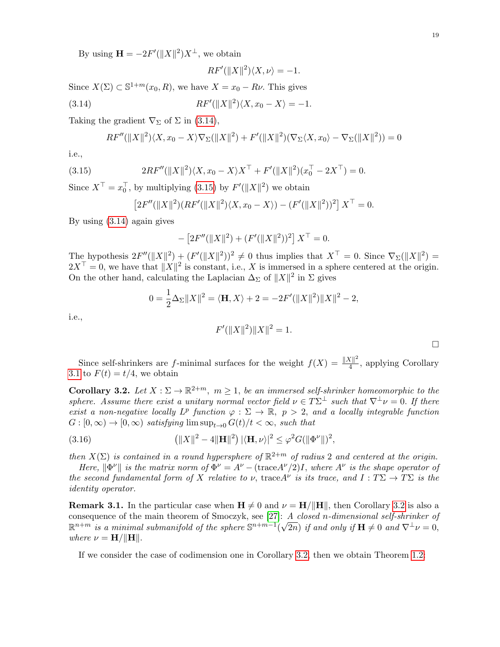By using  $\mathbf{H} = -2F'(\|X\|^2)X^{\perp}$ , we obtain

<span id="page-18-0"></span>
$$
RF'(\|X\|^2)\langle X,\nu\rangle = -1.
$$

Since  $X(\Sigma) \subset \mathbb{S}^{1+m}(x_0, R)$ , we have  $X = x_0 - R\nu$ . This gives

(3.14) 
$$
RF'(\|X\|^2)\langle X, x_0 - X \rangle = -1.
$$

Taking the gradient  $\nabla_{\Sigma}$  of  $\Sigma$  in [\(3.14\)](#page-18-0),

$$
RF''(\|X\|^2)\langle X, x_0 - X \rangle \nabla_\Sigma(\|X\|^2) + F'(\|X\|^2)(\nabla_\Sigma\langle X, x_0 \rangle - \nabla_\Sigma(\|X\|^2)) = 0
$$

i.e.,

(3.15) 
$$
2RF''(\|X\|^2)\langle X, x_0 - X\rangle X^{\top} + F'(\|X\|^2)(x_0^{\top} - 2X^{\top}) = 0.
$$

Since  $X^{\top} = x_0^{\top}$ , by multiplying [\(3.15\)](#page-18-1) by  $F'(\|X\|^2)$  we obtain

<span id="page-18-1"></span>
$$
[2F''(\|X\|^2)(RF'(\|X\|^2)\langle X,x_0-X\rangle)-(F'(\|X\|^2))^2]X^{\top}=0.
$$

By using [\(3.14\)](#page-18-0) again gives

$$
- [2F''(\|X\|^2) + (F'(\|X\|^2))^2] X^{\top} = 0.
$$

The hypothesis  $2F''(\|X\|^2) + (F'(\|X\|^2))^2 \neq 0$  thus implies that  $X^{\top} = 0$ . Since  $\nabla_{\Sigma}(\|X\|^2) =$  $2X^{\top} = 0$ , we have that  $||X||^2$  is constant, i.e., X is immersed in a sphere centered at the origin. On the other hand, calculating the Laplacian  $\Delta_{\Sigma}$  of  $||X||^2$  in  $\Sigma$  gives

$$
0 = \frac{1}{2}\Delta_{\Sigma}||X||^{2} = \langle \mathbf{H}, X \rangle + 2 = -2F'(||X||^{2})||X||^{2} - 2,
$$

i.e.,

$$
F'(\|X\|^2)\|X\|^2 = 1.
$$

 $\Box$ 

Since self-shrinkers are f-minimal surfaces for the weight  $f(X) = \frac{||X||^2}{4}$  $\frac{N||^2}{4}$ , applying Corollary [3.1](#page-17-2) to  $F(t) = t/4$ , we obtain

<span id="page-18-2"></span>**Corollary 3.2.** Let  $X : \Sigma \to \mathbb{R}^{2+m}$ ,  $m \geq 1$ , be an immersed self-shrinker homeomorphic to the sphere. Assume there exist a unitary normal vector field  $\nu \in T\Sigma^{\perp}$  such that  $\nabla^{\perp} \nu = 0$ . If there exist a non-negative locally  $L^p$  function  $\varphi : \Sigma \to \mathbb{R}$ ,  $p > 2$ , and a locally integrable function  $G : [0, \infty) \to [0, \infty)$  satisfying  $\limsup_{t \to 0} G(t)/t < \infty$ , such that

(3.16) 
$$
(\|X\|^2 - 4\|\mathbf{H}\|^2) \, |\langle \mathbf{H}, \nu \rangle|^2 \leq \varphi^2 G(\|\Phi^{\nu}\|)^2,
$$

then  $X(\Sigma)$  is contained in a round hypersphere of  $\mathbb{R}^{2+m}$  of radius 2 and centered at the origin.

Here,  $\|\Phi^{\nu}\|$  is the matrix norm of  $\Phi^{\nu} = A^{\nu} - (\text{trace} A^{\nu}/2)I$ , where  $A^{\nu}$  is the shape operator of the second fundamental form of X relative to  $\nu$ , trace A<sup> $\nu$ </sup> is its trace, and  $I: T\Sigma \to T\Sigma$  is the identity operator.

**Remark 3.1.** In the particular case when  $H \neq 0$  and  $\nu = H/||H||$ , then Corollary [3.2](#page-18-2) is also a consequence of the main theorem of Smoczyk, see [\[27\]](#page-27-11): A closed n-dimensional self-shrinker of  $\mathbb{R}^{n+m}$  is a minimal submanifold of the sphere  $\mathbb{S}^{n+m-1}(\sqrt{2n})$  if and only if  $\mathbf{H}\neq 0$  and  $\nabla^{\perp}\nu=0$ , where  $\nu = \mathbf{H}/\|\mathbf{H}\|.$ 

If we consider the case of codimension one in Corollary [3.2,](#page-18-2) then we obtain Theorem [1.2:](#page-2-1)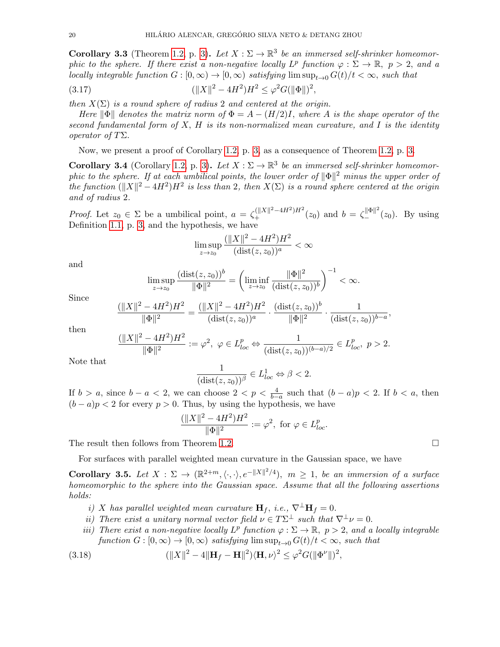**Corollary 3.3** (Theorem [1.2,](#page-2-1) p. [3\)](#page-2-1). Let  $X : \Sigma \to \mathbb{R}^3$  be an immersed self-shrinker homeomorphic to the sphere. If there exist a non-negative locally  $L^p$  function  $\varphi : \Sigma \to \mathbb{R}, p > 2$ , and a locally integrable function  $G : [0, \infty) \to [0, \infty)$  satisfying  $\limsup_{t \to 0} G(t)/t < \infty$ , such that

(3.17) 
$$
(\|X\|^2 - 4H^2)H^2 \le \varphi^2 G(\|\Phi\|)^2,
$$

then  $X(\Sigma)$  is a round sphere of radius 2 and centered at the origin.

Here  $\|\Phi\|$  denotes the matrix norm of  $\Phi = A - (H/2)I$ , where A is the shape operator of the second fundamental form of  $X$ ,  $H$  is its non-normalized mean curvature, and  $I$  is the identity operator of TΣ.

Now, we present a proof of Corollary [1.2,](#page-2-2) p. [3,](#page-2-2) as a consequence of Theorem [1.2,](#page-2-1) p. [3.](#page-2-1)

<span id="page-19-0"></span>**Corollary 3.4** (Corollary [1.2,](#page-2-2) p. [3\)](#page-2-2). Let  $X : \Sigma \to \mathbb{R}^3$  be an immersed self-shrinker homeomorphic to the sphere. If at each umbilical points, the lower order of  $\|\Phi\|^2$  minus the upper order of the function  $(\|X\|^2 - 4H^2)H^2$  is less than 2, then  $X(\Sigma)$  is a round sphere centered at the origin and of radius 2.

*Proof.* Let  $z_0 \in \Sigma$  be a umbilical point,  $a = \zeta_+^{(\|X\|^2 - 4H^2)H^2}(z_0)$  and  $b = \zeta_-^{\|\Phi\|^2}(z_0)$ . By using Definition [1.1,](#page-2-3) p. [3,](#page-2-3) and the hypothesis, we have

$$
\limsup_{z \to z_0} \frac{(\|X\|^2 - 4H^2)H^2}{(\text{dist}(z, z_0))^a} < \infty
$$

and

$$
\limsup_{z \to z_0} \frac{(\text{dist}(z, z_0))^b}{\|\Phi\|^2} = \left( \liminf_{z \to z_0} \frac{\|\Phi\|^2}{(\text{dist}(z, z_0))^b} \right)^{-1} < \infty.
$$

Since

$$
\frac{(\|X\|^2 - 4H^2)H^2}{\|\Phi\|^2} = \frac{(\|X\|^2 - 4H^2)H^2}{(\text{dist}(z, z_0))^a} \cdot \frac{(\text{dist}(z, z_0))^b}{\|\Phi\|^2} \cdot \frac{1}{(\text{dist}(z, z_0))^{b-a}}
$$

then

$$
\frac{(\|X\|^2 - 4H^2)H^2}{\|\Phi\|^2} := \varphi^2, \ \varphi \in L^p_{loc} \Leftrightarrow \frac{1}{(\text{dist}(z, z_0))^{(b-a)/2}} \in L^p_{loc}, \ p > 2.
$$

Note that

$$
\frac{1}{(\text{dist}(z, z_0))^\beta} \in L^1_{loc} \Leftrightarrow \beta < 2.
$$

If  $b > a$ , since  $b - a < 2$ , we can choose  $2 < p < \frac{4}{b-a}$  such that  $(b-a)p < 2$ . If  $b < a$ , then  $(b - a)p < 2$  for every  $p > 0$ . Thus, by using the hypothesis, we have

$$
\frac{(\|X\|^2 - 4H^2)H^2}{\|\Phi\|^2} := \varphi^2, \text{ for } \varphi \in L^p_{loc}.
$$

The result then follows from Theorem [1.2.](#page-2-1)

For surfaces with parallel weighted mean curvature in the Gaussian space, we have

**Corollary 3.5.** Let  $X : \Sigma \to (\mathbb{R}^{2+m}, \langle \cdot, \cdot \rangle, e^{-\|X\|^2/4}), m \geq 1$ , be an immersion of a surface homeomorphic to the sphere into the Gaussian space. Assume that all the following assertions holds:

- i) X has parallel weighted mean curvature  $\mathbf{H}_f$ , i.e.,  $\nabla^{\perp} \mathbf{H}_f = 0$ .
- <span id="page-19-1"></span>ii) There exist a unitary normal vector field  $\nu \in T\Sigma^{\perp}$  such that  $\nabla^{\perp} \nu = 0$ .
- iii) There exist a non-negative locally  $L^p$  function  $\varphi : \Sigma \to \mathbb{R}, p > 2$ , and a locally integrable function  $G : [0, \infty) \to [0, \infty)$  satisfying  $\limsup_{t \to 0} G(t)/t < \infty$ , such that

(3.18) 
$$
(\|X\|^2 - 4\|\mathbf{H}_f - \mathbf{H}\|^2)\langle \mathbf{H}, \nu \rangle^2 \leq \varphi^2 G(\|\Phi^{\nu}\|)^2,
$$

,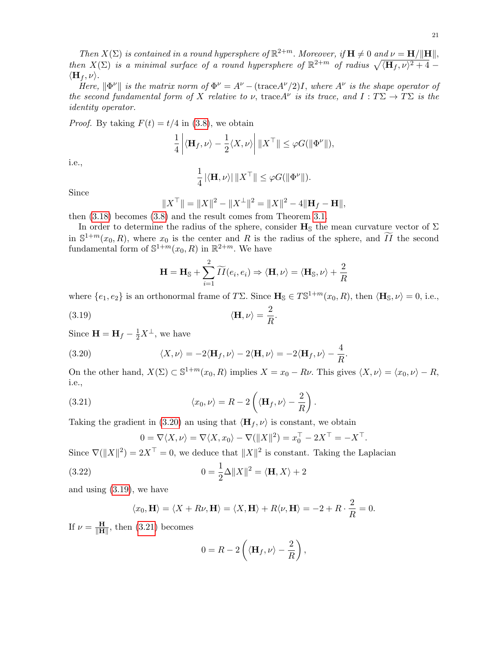Then  $X(\Sigma)$  is contained in a round hypersphere of  $\mathbb{R}^{2+m}$ . Moreover, if  $\mathbf{H} \neq 0$  and  $\nu = \mathbf{H}/\|\mathbf{H}\|$ , then  $X(\Sigma)$  is a minimal surface of a round hypersphere of  $\mathbb{R}^{2+m}$  of radius  $\sqrt{\langle \mathbf{H}_f , \nu \rangle^2 + 4}$  $\langle \mathbf{H}_f , \nu \rangle$ .

Here,  $\|\Phi^{\nu}\|$  is the matrix norm of  $\Phi^{\nu} = A^{\nu} - (\text{trace} A^{\nu}/2)I$ , where  $A^{\nu}$  is the shape operator of the second fundamental form of X relative to  $\nu$ , trace A<sup> $\nu$ </sup> is its trace, and  $I: T\Sigma \to T\Sigma$  is the identity operator.

*Proof.* By taking  $F(t) = t/4$  in [\(3.8\)](#page-15-0), we obtain

$$
\frac{1}{4} \left| \langle \mathbf{H}_f, \nu \rangle - \frac{1}{2} \langle X, \nu \rangle \right| ||X^{\top}|| \leq \varphi G(||\Phi^{\nu}||),
$$

i.e.,

$$
\frac{1}{4} \left| \langle \mathbf{H}, \nu \rangle \right| \| \boldsymbol{X}^\top \| \leq \varphi \boldsymbol{G}(\| \Phi^\nu \|).
$$

Since

$$
||X^{\top}|| = ||X||^2 - ||X^{\perp}||^2 = ||X||^2 - 4||\mathbf{H}_f - \mathbf{H}||,
$$

then [\(3.18\)](#page-19-1) becomes [\(3.8\)](#page-15-0) and the result comes from Theorem [3.1.](#page-14-0)

In order to determine the radius of the sphere, consider  $H_s$  the mean curvature vector of  $\Sigma$ in  $\mathbb{S}^{1+m}(x_0, R)$ , where  $x_0$  is the center and R is the radius of the sphere, and  $\widetilde{II}$  the second fundamental form of  $\mathbb{S}^{1+m}(x_0, R)$  in  $\mathbb{R}^{2+m}$ . We have

<span id="page-20-0"></span>
$$
\mathbf{H} = \mathbf{H}_{\mathbb{S}} + \sum_{i=1}^{2} \widetilde{II}(e_i, e_i) \Rightarrow \langle \mathbf{H}, \nu \rangle = \langle \mathbf{H}_{\mathbb{S}}, \nu \rangle + \frac{2}{R}
$$

where  $\{e_1, e_2\}$  is an orthonormal frame of TΣ. Since  $\mathbf{H}_{\mathbb{S}} \in T\mathbb{S}^{1+m}(x_0, R)$ , then  $\langle \mathbf{H}_{\mathbb{S}}, \nu \rangle = 0$ , i.e.,

<span id="page-20-1"></span>.

(3.19) 
$$
\langle \mathbf{H}, \nu \rangle = \frac{2}{R}
$$

Since  $\mathbf{H} = \mathbf{H}_f - \frac{1}{2}X^{\perp}$ , we have

(3.20) 
$$
\langle X, \nu \rangle = -2 \langle \mathbf{H}_f, \nu \rangle - 2 \langle \mathbf{H}, \nu \rangle = -2 \langle \mathbf{H}_f, \nu \rangle - \frac{4}{R}.
$$

On the other hand,  $X(\Sigma) \subset \mathbb{S}^{1+m}(x_0, R)$  implies  $X = x_0 - R\nu$ . This gives  $\langle X, \nu \rangle = \langle x_0, \nu \rangle - R$ , i.e.,

(3.21) 
$$
\langle x_0, \nu \rangle = R - 2 \left( \langle \mathbf{H}_f, \nu \rangle - \frac{2}{R} \right).
$$

Taking the gradient in [\(3.20\)](#page-20-0) an using that  $\langle \mathbf{H}_f , \nu \rangle$  is constant, we obtain

<span id="page-20-2"></span>
$$
0 = \nabla \langle X, \nu \rangle = \nabla \langle X, x_0 \rangle - \nabla (\|X\|^2) = x_0^\top - 2X^\top = -X^\top.
$$

Since  $\nabla(\|X\|^2) = 2X^\top = 0$ , we deduce that  $\|X\|^2$  is constant. Taking the Laplacian

(3.22) 
$$
0 = \frac{1}{2}\Delta ||X||^2 = \langle \mathbf{H}, X \rangle + 2
$$

and using [\(3.19\)](#page-20-1), we have

$$
\langle x_0, \mathbf{H} \rangle = \langle X + R\nu, \mathbf{H} \rangle = \langle X, \mathbf{H} \rangle + R\langle \nu, \mathbf{H} \rangle = -2 + R \cdot \frac{2}{R} = 0.
$$

If  $\nu = \frac{H}{\mathbb{I} \mathbf{H}}$  $\frac{\mathbf{H}}{\|\mathbf{H}\|}$ , then [\(3.21\)](#page-20-2) becomes

$$
0 = R - 2\left(\langle \mathbf{H}_f, \nu \rangle - \frac{2}{R}\right),\,
$$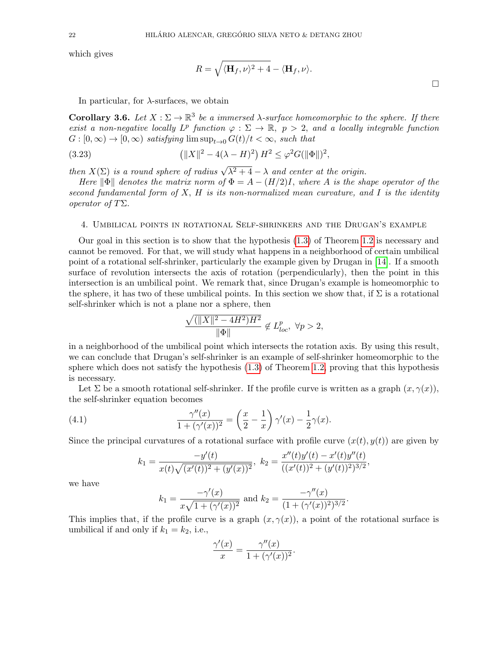which gives

$$
R = \sqrt{\langle \mathbf{H}_f, \nu \rangle^2 + 4} - \langle \mathbf{H}_f, \nu \rangle.
$$

In particular, for  $\lambda$ -surfaces, we obtain

**Corollary 3.6.** Let  $X : \Sigma \to \mathbb{R}^3$  be a immersed  $\lambda$ -surface homeomorphic to the sphere. If there exist a non-negative locally  $L^p$  function  $\varphi : \Sigma \to \mathbb{R}$ ,  $p > 2$ , and a locally integrable function  $G : [0, \infty) \to [0, \infty)$  satisfying  $\limsup_{t \to 0} G(t)/t < \infty$ , such that

(3.23) 
$$
(\|X\|^2 - 4(\lambda - H)^2) H^2 \le \varphi^2 G(\|\Phi\|)^2,
$$

then  $X(\Sigma)$  is a round sphere of radius  $\sqrt{\lambda^2+4} - \lambda$  and center at the origin.

Here  $\|\Phi\|$  denotes the matrix norm of  $\Phi = A - (H/2)I$ , where A is the shape operator of the second fundamental form of  $X$ ,  $H$  is its non-normalized mean curvature, and  $I$  is the identity *operator of T*Σ.

#### <span id="page-21-0"></span>4. Umbilical points in rotational Self-shrinkers and the Drugan's example

Our goal in this section is to show that the hypothesis [\(1.3\)](#page-2-0) of Theorem [1.2](#page-2-1) is necessary and cannot be removed. For that, we will study what happens in a neighborhood of certain umbilical point of a rotational self-shrinker, particularly the example given by Drugan in [\[14\]](#page-26-1). If a smooth surface of revolution intersects the axis of rotation (perpendicularly), then the point in this intersection is an umbilical point. We remark that, since Drugan's example is homeomorphic to the sphere, it has two of these umbilical points. In this section we show that, if  $\Sigma$  is a rotational self-shrinker which is not a plane nor a sphere, then

$$
\frac{\sqrt{(\|X\|^2 - 4H^2)H^2}}{\|\Phi\|} \notin L_{loc}^p, \ \forall p > 2,
$$

in a neighborhood of the umbilical point which intersects the rotation axis. By using this result, we can conclude that Drugan's self-shrinker is an example of self-shrinker homeomorphic to the sphere which does not satisfy the hypothesis [\(1.3\)](#page-2-0) of Theorem [1.2,](#page-2-1) proving that this hypothesis is necessary.

Let  $\Sigma$  be a smooth rotational self-shrinker. If the profile curve is written as a graph  $(x, \gamma(x))$ , the self-shrinker equation becomes

(4.1) 
$$
\frac{\gamma''(x)}{1+(\gamma'(x))^2} = \left(\frac{x}{2} - \frac{1}{x}\right)\gamma'(x) - \frac{1}{2}\gamma(x).
$$

Since the principal curvatures of a rotational surface with profile curve  $(x(t), y(t))$  are given by

<span id="page-21-1"></span>
$$
k_1 = \frac{-y'(t)}{x(t)\sqrt{(x'(t))^2 + (y'(x))^2}}, \ k_2 = \frac{x''(t)y'(t) - x'(t)y''(t)}{((x'(t))^2 + (y'(t))^2)^{3/2}},
$$

we have

$$
k_1 = \frac{-\gamma'(x)}{x\sqrt{1+(\gamma'(x))^2}}
$$
 and  $k_2 = \frac{-\gamma''(x)}{(1+(\gamma'(x))^2)^{3/2}}$ .

This implies that, if the profile curve is a graph  $(x, \gamma(x))$ , a point of the rotational surface is umbilical if and only if  $k_1 = k_2$ , i.e.,

$$
\frac{\gamma'(x)}{x} = \frac{\gamma''(x)}{1 + (\gamma'(x))^2}.
$$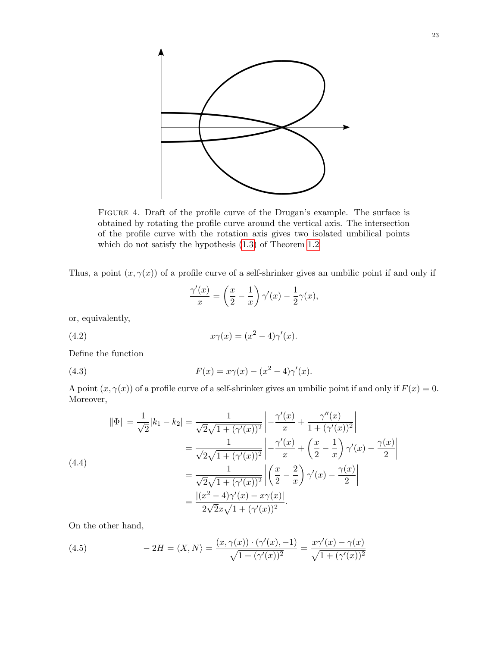

Figure 4. Draft of the profile curve of the Drugan's example. The surface is obtained by rotating the profile curve around the vertical axis. The intersection of the profile curve with the rotation axis gives two isolated umbilical points which do not satisfy the hypothesis [\(1.3\)](#page-2-0) of Theorem [1.2](#page-2-1)

Thus, a point  $(x, \gamma(x))$  of a profile curve of a self-shrinker gives an umbilic point if and only if

<span id="page-22-0"></span>
$$
\frac{\gamma'(x)}{x} = \left(\frac{x}{2} - \frac{1}{x}\right)\gamma'(x) - \frac{1}{2}\gamma(x),
$$

or, equivalently,

(4.2) 
$$
x\gamma(x) = (x^2 - 4)\gamma'(x).
$$

Define the function

(4.3) 
$$
F(x) = x\gamma(x) - (x^2 - 4)\gamma'(x).
$$

A point  $(x, \gamma(x))$  of a profile curve of a self-shrinker gives an umbilic point if and only if  $F(x) = 0$ . Moreover,

<span id="page-22-2"></span>(4.4)  
\n
$$
\|\Phi\| = \frac{1}{\sqrt{2}} |k_1 - k_2| = \frac{1}{\sqrt{2}\sqrt{1 + (\gamma'(x))^2}} \left| -\frac{\gamma'(x)}{x} + \frac{\gamma''(x)}{1 + (\gamma'(x))^2} \right|
$$
\n
$$
= \frac{1}{\sqrt{2}\sqrt{1 + (\gamma'(x))^2}} \left| -\frac{\gamma'(x)}{x} + \left(\frac{x}{2} - \frac{1}{x}\right) \gamma'(x) - \frac{\gamma(x)}{2} \right|
$$
\n
$$
= \frac{1}{\sqrt{2}\sqrt{1 + (\gamma'(x))^2}} \left| \left(\frac{x}{2} - \frac{2}{x}\right) \gamma'(x) - \frac{\gamma(x)}{2} \right|
$$
\n
$$
= \frac{|(x^2 - 4)\gamma'(x) - x\gamma(x)|}{2\sqrt{2}x\sqrt{1 + (\gamma'(x))^2}}.
$$

On the other hand,

<span id="page-22-1"></span>(4.5) 
$$
-2H = \langle X, N \rangle = \frac{(x, \gamma(x)) \cdot (\gamma'(x), -1)}{\sqrt{1 + (\gamma'(x))^2}} = \frac{x\gamma'(x) - \gamma(x)}{\sqrt{1 + (\gamma'(x))^2}}
$$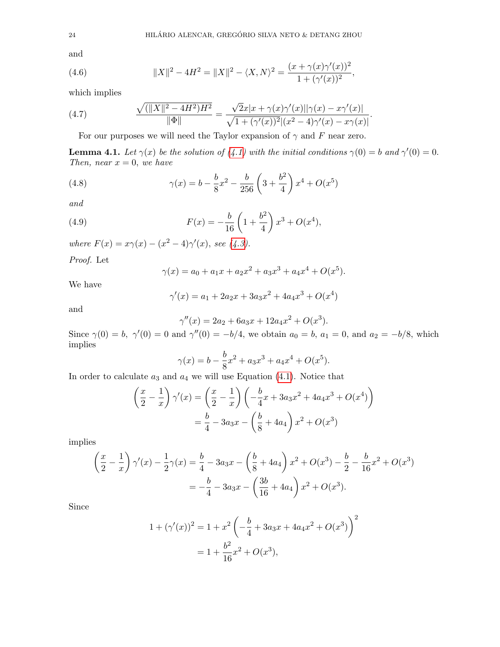and

<span id="page-23-0"></span>(4.6) 
$$
||X||^2 - 4H^2 = ||X||^2 - \langle X, N \rangle^2 = \frac{(x + \gamma(x)\gamma'(x))^2}{1 + (\gamma'(x))^2},
$$

which implies

(4.7) 
$$
\frac{\sqrt{(\|X\|^2 - 4H^2)H^2}}{\|\Phi\|} = \frac{\sqrt{2}x|x + \gamma(x)\gamma'(x)||\gamma(x) - x\gamma'(x)|}{\sqrt{1 + (\gamma'(x))^2|(x^2 - 4)\gamma'(x) - x\gamma(x)|}}
$$

For our purposes we will need the Taylor expansion of  $\gamma$  and F near zero.

<span id="page-23-1"></span>**Lemma 4.1.** Let  $\gamma(x)$  be the solution of [\(4.1\)](#page-21-1) with the initial conditions  $\gamma(0) = b$  and  $\gamma'(0) = 0$ . Then, near  $x = 0$ , we have

.

(4.8) 
$$
\gamma(x) = b - \frac{b}{8}x^2 - \frac{b}{256}\left(3 + \frac{b^2}{4}\right)x^4 + O(x^5)
$$

and

(4.9) 
$$
F(x) = -\frac{b}{16} \left( 1 + \frac{b^2}{4} \right) x^3 + O(x^4),
$$

where  $F(x) = x\gamma(x) - (x^2 - 4)\gamma'(x)$ , see [\(4.3\)](#page-22-0).

Proof. Let

$$
\gamma(x) = a_0 + a_1x + a_2x^2 + a_3x^3 + a_4x^4 + O(x^5).
$$

We have

$$
\gamma'(x) = a_1 + 2a_2x + 3a_3x^2 + 4a_4x^3 + O(x^4)
$$

and

$$
\gamma''(x) = 2a_2 + 6a_3x + 12a_4x^2 + O(x^3).
$$

Since  $\gamma(0) = b$ ,  $\gamma'(0) = 0$  and  $\gamma''(0) = -b/4$ , we obtain  $a_0 = b$ ,  $a_1 = 0$ , and  $a_2 = -b/8$ , which implies

$$
\gamma(x) = b - \frac{b}{8}x^2 + a_3x^3 + a_4x^4 + O(x^5).
$$

In order to calculate  $a_3$  and  $a_4$  we will use Equation [\(4.1\)](#page-21-1). Notice that

$$
\left(\frac{x}{2} - \frac{1}{x}\right)\gamma'(x) = \left(\frac{x}{2} - \frac{1}{x}\right)\left(-\frac{b}{4}x + 3a_3x^2 + 4a_4x^3 + O(x^4)\right)
$$

$$
= \frac{b}{4} - 3a_3x - \left(\frac{b}{8} + 4a_4\right)x^2 + O(x^3)
$$

implies

$$
\left(\frac{x}{2} - \frac{1}{x}\right)\gamma'(x) - \frac{1}{2}\gamma(x) = \frac{b}{4} - 3a_3x - \left(\frac{b}{8} + 4a_4\right)x^2 + O(x^3) - \frac{b}{2} - \frac{b}{16}x^2 + O(x^3)
$$

$$
= -\frac{b}{4} - 3a_3x - \left(\frac{3b}{16} + 4a_4\right)x^2 + O(x^3).
$$

Since

$$
1 + (\gamma'(x))^2 = 1 + x^2 \left( -\frac{b}{4} + 3a_3x + 4a_4x^2 + O(x^3) \right)^2
$$

$$
= 1 + \frac{b^2}{16}x^2 + O(x^3),
$$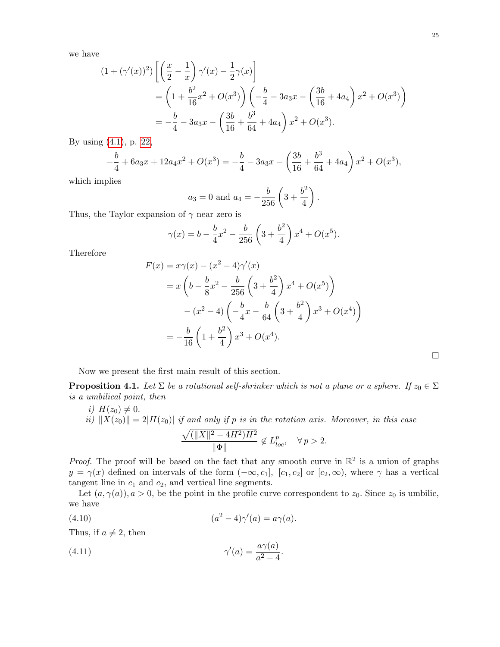$\Box$ 

we have

$$
(1 + (\gamma'(x))^2) \left[ \left( \frac{x}{2} - \frac{1}{x} \right) \gamma'(x) - \frac{1}{2} \gamma(x) \right]
$$
  
=  $\left( 1 + \frac{b^2}{16} x^2 + O(x^3) \right) \left( -\frac{b}{4} - 3a_3 x - \left( \frac{3b}{16} + 4a_4 \right) x^2 + O(x^3) \right)$   
=  $-\frac{b}{4} - 3a_3 x - \left( \frac{3b}{16} + \frac{b^3}{64} + 4a_4 \right) x^2 + O(x^3).$ 

By using [\(4.1\)](#page-21-1), p. [22,](#page-21-1)

$$
-\frac{b}{4} + 6a_3x + 12a_4x^2 + O(x^3) = -\frac{b}{4} - 3a_3x - \left(\frac{3b}{16} + \frac{b^3}{64} + 4a_4\right)x^2 + O(x^3),
$$

which implies

$$
a_3 = 0
$$
 and  $a_4 = -\frac{b}{256} \left(3 + \frac{b^2}{4}\right)$ .

Thus, the Taylor expansion of  $\gamma$  near zero is

$$
\gamma(x) = b - \frac{b}{4}x^2 - \frac{b}{256} \left(3 + \frac{b^2}{4}\right)x^4 + O(x^5).
$$

Therefore

$$
F(x) = x\gamma(x) - (x^2 - 4)\gamma'(x)
$$
  
=  $x\left(b - \frac{b}{8}x^2 - \frac{b}{256}\left(3 + \frac{b^2}{4}\right)x^4 + O(x^5)\right)$   
 $- (x^2 - 4)\left(-\frac{b}{4}x - \frac{b}{64}\left(3 + \frac{b^2}{4}\right)x^3 + O(x^4)\right)$   
=  $-\frac{b}{16}\left(1 + \frac{b^2}{4}\right)x^3 + O(x^4).$ 

Now we present the first main result of this section.

**Proposition 4.1.** Let  $\Sigma$  be a rotational self-shrinker which is not a plane or a sphere. If  $z_0 \in \Sigma$ is a umbilical point, then

i)  $H(z_0) \neq 0$ . ii)  $||X(z_0)|| = 2|H(z_0)|$  if and only if p is in the rotation axis. Moreover, in this case  $\sqrt{(\|X\|^2 - 4H^2)H^2}$  $\frac{\mathcal{E} - 4H^2}{\|\Phi\|} \notin L_{loc}^p, \quad \forall p > 2.$ 

*Proof.* The proof will be based on the fact that any smooth curve in  $\mathbb{R}^2$  is a union of graphs  $y = \gamma(x)$  defined on intervals of the form  $(-\infty, c_1]$ ,  $[c_1, c_2]$  or  $[c_2, \infty)$ , where  $\gamma$  has a vertical tangent line in  $c_1$  and  $c_2$ , and vertical line segments.

Let  $(a, \gamma(a))$ ,  $a > 0$ , be the point in the profile curve correspondent to  $z_0$ . Since  $z_0$  is umbilic, we have

<span id="page-24-0"></span>
$$
(4.10) \qquad (a^2 - 4)\gamma'(a) = a\gamma(a).
$$

Thus, if  $a \neq 2$ , then

<span id="page-24-1"></span>(4.11) 
$$
\gamma'(a) = \frac{a\gamma(a)}{a^2 - 4}.
$$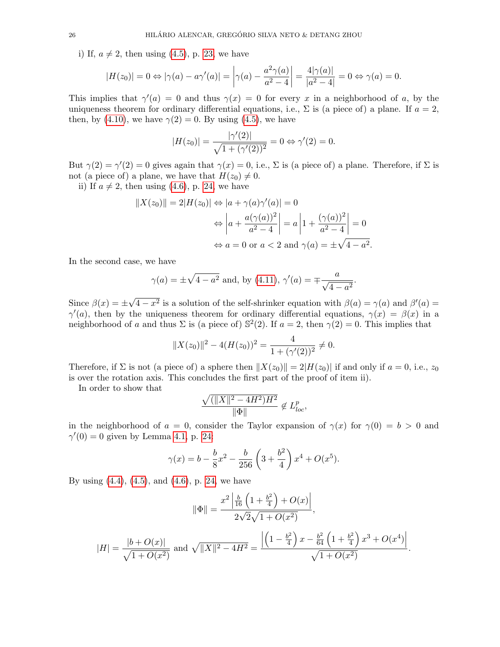i) If,  $a \neq 2$ , then using [\(4.5\)](#page-22-1), p. [23,](#page-22-1) we have

$$
|H(z_0)| = 0 \Leftrightarrow |\gamma(a) - a\gamma'(a)| = \left|\gamma(a) - \frac{a^2\gamma(a)}{a^2 - 4}\right| = \frac{4|\gamma(a)|}{|a^2 - 4|} = 0 \Leftrightarrow \gamma(a) = 0.
$$

This implies that  $\gamma'(a) = 0$  and thus  $\gamma(x) = 0$  for every x in a neighborhood of a, by the uniqueness theorem for ordinary differential equations, i.e.,  $\Sigma$  is (a piece of) a plane. If  $a = 2$ , then, by [\(4.10\)](#page-24-0), we have  $\gamma(2) = 0$ . By using [\(4.5\)](#page-22-1), we have

$$
|H(z_0)| = \frac{|\gamma'(2)|}{\sqrt{1 + (\gamma'(2))^2}} = 0 \Leftrightarrow \gamma'(2) = 0.
$$

But  $\gamma(2) = \gamma'(2) = 0$  gives again that  $\gamma(x) = 0$ , i.e.,  $\Sigma$  is (a piece of) a plane. Therefore, if  $\Sigma$  is not (a piece of) a plane, we have that  $H(z_0) \neq 0$ .

ii) If  $a \neq 2$ , then using [\(4.6\)](#page-23-0), p. [24,](#page-23-0) we have

$$
||X(z_0)|| = 2|H(z_0)| \Leftrightarrow |a + \gamma(a)\gamma'(a)| = 0
$$

$$
\Leftrightarrow \left| a + \frac{a(\gamma(a))^2}{a^2 - 4} \right| = a \left| 1 + \frac{(\gamma(a))^2}{a^2 - 4} \right| = 0
$$

$$
\Leftrightarrow a = 0 \text{ or } a < 2 \text{ and } \gamma(a) = \pm \sqrt{4 - a^2}.
$$

In the second case, we have

$$
\gamma(a) = \pm \sqrt{4 - a^2}
$$
 and, by (4.11),  $\gamma'(a) = \mp \frac{a}{\sqrt{4 - a^2}}$ .

Since  $\beta(x) = \pm$ √  $\overline{4-x^2}$  is a solution of the self-shrinker equation with  $\beta(a) = \gamma(a)$  and  $\beta'(a) =$  $\gamma'(a)$ , then by the uniqueness theorem for ordinary differential equations,  $\gamma(x) = \beta(x)$  in a neighborhood of a and thus  $\Sigma$  is (a piece of)  $\mathbb{S}^2(2)$ . If  $a = 2$ , then  $\gamma(2) = 0$ . This implies that

$$
||X(z_0)||^2 - 4(H(z_0))^2 = \frac{4}{1 + (\gamma'(2))^2} \neq 0.
$$

Therefore, if  $\Sigma$  is not (a piece of) a sphere then  $||X(z_0)|| = 2|H(z_0)||$  if and only if  $a = 0$ , i.e.,  $z_0$ is over the rotation axis. This concludes the first part of the proof of item ii).

In order to show that

$$
\frac{\sqrt{(\|X\|^2 - 4H^2)H^2}}{\|\Phi\|} \notin L^p_{loc},
$$

in the neighborhood of  $a = 0$ , consider the Taylor expansion of  $\gamma(x)$  for  $\gamma(0) = b > 0$  and  $\gamma'(0) = 0$  given by Lemma [4.1,](#page-23-1) p. [24:](#page-23-1)

$$
\gamma(x) = b - \frac{b}{8}x^2 - \frac{b}{256} \left(3 + \frac{b^2}{4}\right)x^4 + O(x^5).
$$

 $\mathcal{L}^{\pm}$ 

By using [\(4.4\)](#page-22-2), [\(4.5\)](#page-22-1), and [\(4.6\)](#page-23-0), p. [24,](#page-23-0) we have

$$
\|\Phi\| = \frac{x^2 \left| \frac{b}{16} \left( 1 + \frac{b^2}{4} \right) + O(x) \right|}{2\sqrt{2}\sqrt{1 + O(x^2)}},
$$
  

$$
|H| = \frac{|b + O(x)|}{\sqrt{1 + O(x^2)}} \text{ and } \sqrt{\|X\|^2 - 4H^2} = \frac{\left| \left( 1 - \frac{b^2}{4} \right) x - \frac{b^2}{64} \left( 1 + \frac{b^2}{4} \right) x^3 + O(x^4) \right|}{\sqrt{1 + O(x^2)}}.
$$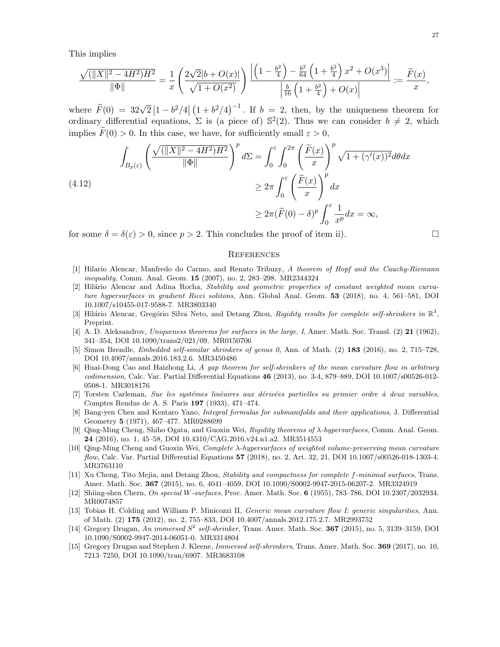This implies

$$
\frac{\sqrt{(\|X\|^2 - 4H^2)H^2}}{\|\Phi\|} = \frac{1}{x} \left( \frac{2\sqrt{2}|b + O(x)|}{\sqrt{1 + O(x^2)}} \right) \frac{\left| \left(1 - \frac{b^2}{4}\right) - \frac{b^2}{64} \left(1 + \frac{b^2}{4}\right)x^2 + O(x^3) \right|}{\left| \frac{b}{16} \left(1 + \frac{b^2}{4}\right) + O(x) \right|} := \frac{\widetilde{F}(x)}{x},
$$

where  $\widetilde{F}(0) = 32\sqrt{2} |1-b^2/4| (1+b^2/4)^{-1}$ . If  $b = 2$ , then, by the uniqueness theorem for ordinary differential equations,  $\Sigma$  is (a piece of)  $\mathbb{S}^2(2)$ . Thus we can consider  $b \neq 2$ , which implies  $F(0) > 0$ . In this case, we have, for sufficiently small  $\varepsilon > 0$ ,

$$
\int_{B_p(\varepsilon)} \left( \frac{\sqrt{(\|X\|^2 - 4H^2)H^2}}{\|\Phi\|} \right)^p d\Sigma = \int_0^{\varepsilon} \int_0^{2\pi} \left( \frac{\tilde{F}(x)}{x} \right)^p \sqrt{1 + (\gamma'(x))^2} d\theta dx
$$
\n
$$
\geq 2\pi \int_0^{\varepsilon} \left( \frac{\tilde{F}(x)}{x} \right)^p dx
$$
\n
$$
\geq 2\pi (\tilde{F}(0) - \delta)^p \int_0^{\varepsilon} \frac{1}{x^p} dx = \infty,
$$

for some  $\delta = \delta(\varepsilon) > 0$ , since  $p > 2$ . This concludes the proof of item ii).

#### **REFERENCES**

- <span id="page-26-6"></span>[1] Hilario Alencar, Manfredo do Carmo, and Renato Tribuzy, A theorem of Hopf and the Cauchy-Riemann inequality, Comm. Anal. Geom. **15** (2007), no. 2, 283-298. MR2344324
- <span id="page-26-10"></span>[2] Hilário Alencar and Adina Rocha, Stability and geometric properties of constant weighted mean curvature hypersurfaces in gradient Ricci solitons, Ann. Global Anal. Geom. 53 (2018), no. 4, 561–581, DOI 10.1007/s10455-017-9588-7. MR3803340
- <span id="page-26-12"></span>[3] Hilário Alencar, Gregório Silva Neto, and Detang Zhou, Rigidity results for complete self-shrinkers in  $\mathbb{R}^3$ , Preprint.
- <span id="page-26-0"></span>[4] A. D. Aleksandrov, Uniqueness theorems for surfaces in the large. I, Amer. Math. Soc. Transl. (2) 21 (1962), 341–354, DOI 10.1090/trans2/021/09. MR0150706
- <span id="page-26-3"></span>[5] Simon Brendle, Embedded self-similar shrinkers of genus 0, Ann. of Math. (2) 183 (2016), no. 2, 715–728, DOI 10.4007/annals.2016.183.2.6. MR3450486
- <span id="page-26-8"></span>[6] Huai-Dong Cao and Haizhong Li, A gap theorem for self-shrinkers of the mean curvature flow in arbitrary codimension, Calc. Var. Partial Differential Equations 46 (2013), no. 3-4, 879–889, DOI 10.1007/s00526-012- 0508-1. MR3018176
- <span id="page-26-4"></span>[7] Torsten Carleman, Sue les systémes linèaires aux dérivées partielles su primier ordre à deux variables, Comptes Rendus de A. S. Paris 197 (1933), 471–474.
- <span id="page-26-14"></span>[8] Bang-yen Chen and Kentaro Yano, Integral formulas for submanifolds and their applications, J. Differential Geometry 5 (1971), 467–477. MR0288699
- <span id="page-26-9"></span>[9] Qing-Ming Cheng, Shiho Ogata, and Guoxin Wei, Rigidity theorems of λ-hypersurfaces, Comm. Anal. Geom. 24 (2016), no. 1, 45–58, DOI 10.4310/CAG.2016.v24.n1.a2. MR3514553
- <span id="page-26-11"></span>[10] Qing-Ming Cheng and Guoxin Wei, Complete λ-hypersurfaces of weighted volume-preserving mean curvature flow, Calc. Var. Partial Differential Equations 57 (2018), no. 2, Art. 32, 21, DOI 10.1007/s00526-018-1303-4. MR3763110
- <span id="page-26-13"></span>[11] Xu Cheng, Tito Mejia, and Detang Zhou, Stability and compactness for complete f-minimal surfaces, Trans. Amer. Math. Soc. 367 (2015), no. 6, 4041–4059, DOI 10.1090/S0002-9947-2015-06207-2. MR3324919
- <span id="page-26-5"></span>[12] Shiing-shen Chern, On special W-surfaces, Proc. Amer. Math. Soc. 6 (1955), 783–786, DOI 10.2307/2032934. MR0074857
- <span id="page-26-7"></span>[13] Tobias H. Colding and William P. Minicozzi II, Generic mean curvature flow I: generic singularities, Ann. of Math. (2) 175 (2012), no. 2, 755–833, DOI 10.4007/annals.2012.175.2.7. MR2993752
- <span id="page-26-1"></span>[14] Gregory Drugan, An immersed  $S^2$  self-shrinker, Trans. Amer. Math. Soc. **367** (2015), no. 5, 3139–3159, DOI 10.1090/S0002-9947-2014-06051-0. MR3314804
- <span id="page-26-2"></span>[15] Gregory Drugan and Stephen J. Kleene, Immersed self-shrinkers, Trans. Amer. Math. Soc. 369 (2017), no. 10, 7213–7250, DOI 10.1090/tran/6907. MR3683108